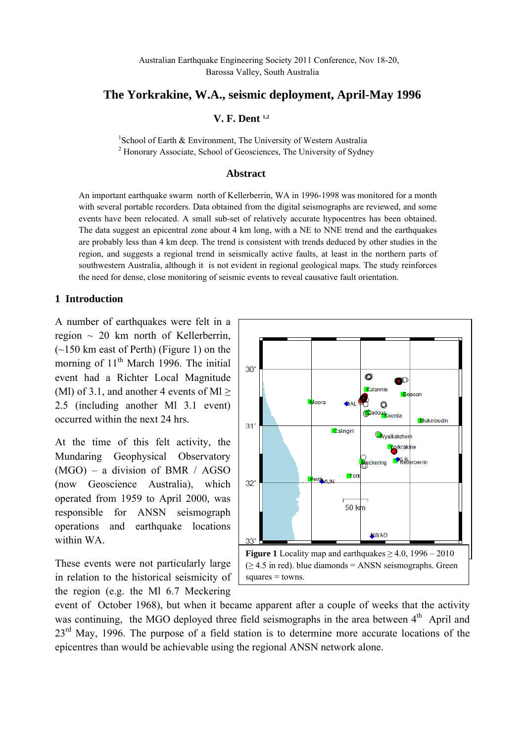## **The Yorkrakine, W.A., seismic deployment, April-May 1996**

### **V. F. Dent 1,2**

<sup>1</sup>School of Earth & Environment, The University of Western Australia<br><sup>2</sup> Henergy Associate, School of Geograpees, The University of Sydna <sup>2</sup> Honorary Associate, School of Geosciences, The University of Sydney

#### **Abstract**

An important earthquake swarm north of Kellerberrin, WA in 1996-1998 was monitored for a month with several portable recorders. Data obtained from the digital seismographs are reviewed, and some events have been relocated. A small sub-set of relatively accurate hypocentres has been obtained. The data suggest an epicentral zone about 4 km long, with a NE to NNE trend and the earthquakes are probably less than 4 km deep. The trend is consistent with trends deduced by other studies in the region, and suggests a regional trend in seismically active faults, at least in the northern parts of southwestern Australia, although it is not evident in regional geological maps. The study reinforces the need for dense, close monitoring of seismic events to reveal causative fault orientation.

#### **1 Introduction**

A number of earthquakes were felt in a region ~ 20 km north of Kellerberrin, (~150 km east of Perth) (Figure 1) on the morning of  $11<sup>th</sup>$  March 1996. The initial event had a Richter Local Magnitude (Ml) of 3.1, and another 4 events of Ml  $>$ 2.5 (including another Ml 3.1 event) occurred within the next 24 hrs.

At the time of this felt activity, the Mundaring Geophysical Observatory (MGO) – a division of BMR / AGSO (now Geoscience Australia), which operated from 1959 to April 2000, was responsible for ANSN seismograph operations and earthquake locations within WA.

These events were not particularly large in relation to the historical seismicity of the region (e.g. the Ml 6.7 Meckering



event of October 1968), but when it became apparent after a couple of weeks that the activity was continuing, the MGO deployed three field seismographs in the area between  $4<sup>th</sup>$  April and  $23<sup>rd</sup>$  May, 1996. The purpose of a field station is to determine more accurate locations of the epicentres than would be achievable using the regional ANSN network alone.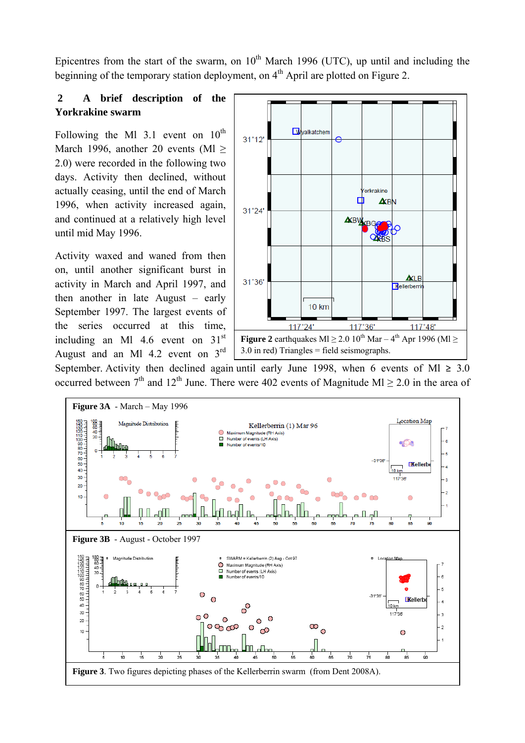Epicentres from the start of the swarm, on  $10<sup>th</sup>$  March 1996 (UTC), up until and including the beginning of the temporary station deployment, on 4<sup>th</sup> April are plotted on Figure 2.

## **2 A brief description of the Yorkrakine swarm**

Following the Ml 3.1 event on  $10^{th}$ March 1996, another 20 events (Ml  $\geq$ 2.0) were recorded in the following two days. Activity then declined, without actually ceasing, until the end of March 1996, when activity increased again, and continued at a relatively high level until mid May 1996.

Activity waxed and waned from then on, until another significant burst in activity in March and April 1997, and then another in late August – early September 1997. The largest events of the series occurred at this time, including an Ml  $4.6$  event on  $31<sup>st</sup>$ August and an Ml  $4.2$  event on  $3<sup>rd</sup>$ 



September. Activity then declined again until early June 1998, when 6 events of Ml  $\geq 3.0$ occurred between  $7<sup>th</sup>$  and  $12<sup>th</sup>$  June. There were 402 events of Magnitude Ml  $\geq$  2.0 in the area of

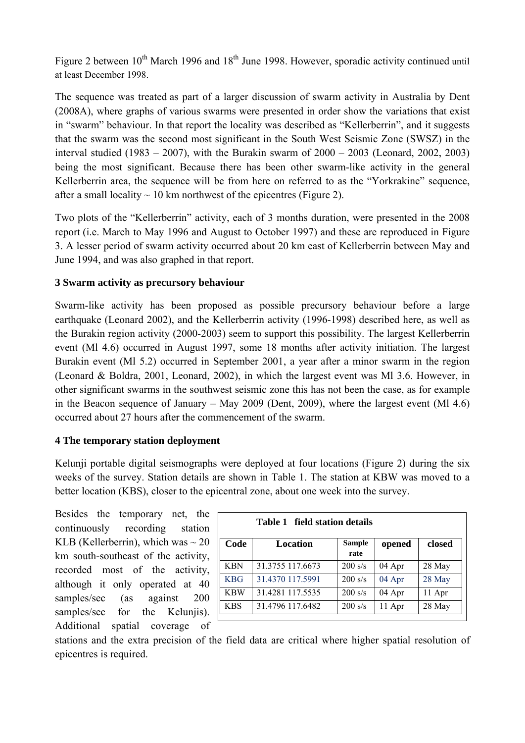Figure 2 between  $10^{th}$  March 1996 and  $18^{th}$  June 1998. However, sporadic activity continued until at least December 1998.

The sequence was treated as part of a larger discussion of swarm activity in Australia by Dent (2008A), where graphs of various swarms were presented in order show the variations that exist in "swarm" behaviour. In that report the locality was described as "Kellerberrin", and it suggests that the swarm was the second most significant in the South West Seismic Zone (SWSZ) in the interval studied (1983 – 2007), with the Burakin swarm of  $2000 - 2003$  (Leonard, 2002, 2003) being the most significant. Because there has been other swarm-like activity in the general Kellerberrin area, the sequence will be from here on referred to as the "Yorkrakine" sequence, after a small locality  $\sim$  10 km northwest of the epicentres (Figure 2).

Two plots of the "Kellerberrin" activity, each of 3 months duration, were presented in the 2008 report (i.e. March to May 1996 and August to October 1997) and these are reproduced in Figure 3. A lesser period of swarm activity occurred about 20 km east of Kellerberrin between May and June 1994, and was also graphed in that report.

## **3 Swarm activity as precursory behaviour**

Swarm-like activity has been proposed as possible precursory behaviour before a large earthquake (Leonard 2002), and the Kellerberrin activity (1996-1998) described here, as well as the Burakin region activity (2000-2003) seem to support this possibility. The largest Kellerberrin event (Ml 4.6) occurred in August 1997, some 18 months after activity initiation. The largest Burakin event (Ml 5.2) occurred in September 2001, a year after a minor swarm in the region (Leonard & Boldra, 2001, Leonard, 2002), in which the largest event was Ml 3.6. However, in other significant swarms in the southwest seismic zone this has not been the case, as for example in the Beacon sequence of January – May 2009 (Dent, 2009), where the largest event (Ml 4.6) occurred about 27 hours after the commencement of the swarm.

## **4 The temporary station deployment**

Kelunji portable digital seismographs were deployed at four locations (Figure 2) during the six weeks of the survey. Station details are shown in Table 1. The station at KBW was moved to a better location (KBS), closer to the epicentral zone, about one week into the survey.

Besides the temporary net, the continuously recording station KLB (Kellerberrin), which was  $\sim 20$ km south-southeast of the activity, recorded most of the activity, although it only operated at 40 samples/sec (as against 200 samples/sec for the Kelunjis). Additional spatial coverage of

| Table 1 field station details |                  |                |        |        |  |  |  |  |  |
|-------------------------------|------------------|----------------|--------|--------|--|--|--|--|--|
| Code                          | Location         | Sample<br>rate | opened | closed |  |  |  |  |  |
| <b>KBN</b>                    | 31.3755 117.6673 | $200$ s/s      | 04 Apr | 28 May |  |  |  |  |  |
| <b>KBG</b>                    | 31.4370 117.5991 | $200$ s/s      | 04 Apr | 28 May |  |  |  |  |  |
| <b>KBW</b>                    | 31.4281 117.5535 | $200$ s/s      | 04 Apr | 11 Apr |  |  |  |  |  |
| <b>KBS</b>                    | 31.4796 117.6482 | 200 s/s        | 11 Apr | 28 May |  |  |  |  |  |

stations and the extra precision of the field data are critical where higher spatial resolution of epicentres is required.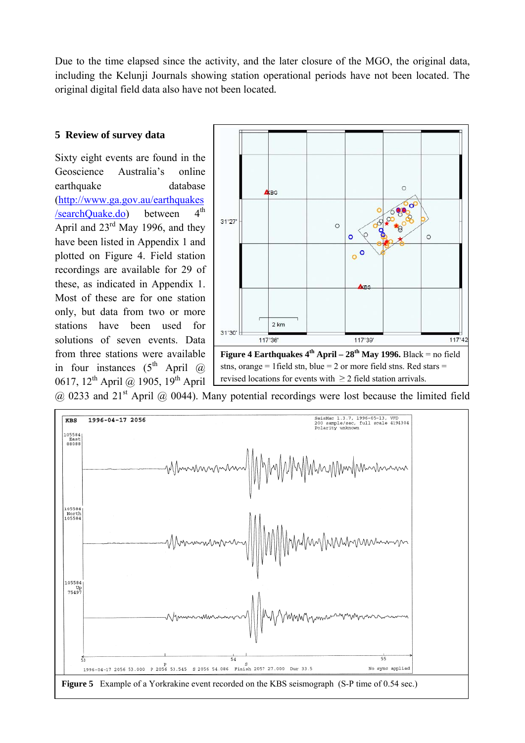Due to the time elapsed since the activity, and the later closure of the MGO, the original data, including the Kelunji Journals showing station operational periods have not been located. The original digital field data also have not been located*.*

### **5 Review of survey data**

Sixty eight events are found in the Geoscience Australia's online earthquake database [\(http://www.ga.gov.au/earthquakes](http://www.ga.gov.au/earthquakes/searchQuake.do)  $/searchQuake.do)$  between  $4<sup>th</sup>$ April and 23rd May 1996, and they have been listed in Appendix 1 and plotted on Figure 4. Field station recordings are available for 29 of these, as indicated in Appendix 1. Most of these are for one station only, but data from two or more stations have been used for solutions of seven events. Data from three stations were available in four instances  $(5^{th}$  April @ 0617, 12<sup>th</sup> April @ 1905, 19<sup>th</sup> April



 $(a)$  0233 and 21<sup>st</sup> April  $(a)$  0044). Many potential recordings were lost because the limited field

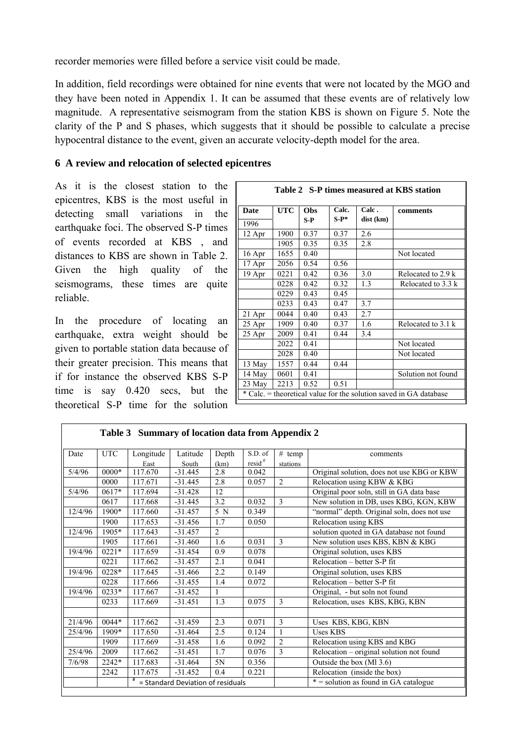recorder memories were filled before a service visit could be made.

In addition, field recordings were obtained for nine events that were not located by the MGO and they have been noted in Appendix 1. It can be assumed that these events are of relatively low magnitude. A representative seismogram from the station KBS is shown on Figure 5. Note the clarity of the P and S phases, which suggests that it should be possible to calculate a precise hypocentral distance to the event, given an accurate velocity-depth model for the area.

### **6 A review and relocation of selected epicentres**

As it is the closest station to the epicentres, KBS is the most useful in detecting small variations in the earthquake foci. The observed S-P times of events recorded at KBS , and distances to KBS are shown in Table 2. Given the high quality of the seismograms, these times are quite reliable.

In the procedure of locating an earthquake, extra weight should be given to portable station data because of their greater precision. This means that if for instance the observed KBS S-P time is say 0.420 secs, but the theoretical S-P time for the solution

| Table 2 S-P times measured at KBS station |                                                                   |       |         |           |                    |  |  |  |  |  |  |
|-------------------------------------------|-------------------------------------------------------------------|-------|---------|-----------|--------------------|--|--|--|--|--|--|
| Date                                      | <b>UTC</b>                                                        | Obs   | Calc.   | Calc.     | comments           |  |  |  |  |  |  |
| 1996                                      |                                                                   | $S-P$ | $S-P^*$ | dist (km) |                    |  |  |  |  |  |  |
| 12 Apr                                    | 1900                                                              | 0.37  | 0.37    | 2.6       |                    |  |  |  |  |  |  |
|                                           | 1905                                                              | 0.35  | 0.35    | 2.8       |                    |  |  |  |  |  |  |
| 16 Apr                                    | 1655                                                              | 0.40  |         |           | Not located        |  |  |  |  |  |  |
| 17 Apr                                    | 2056                                                              | 0.54  | 0.56    |           |                    |  |  |  |  |  |  |
| 19 Apr                                    | 0221                                                              | 0.42  | 0.36    | 3.0       | Relocated to 2.9 k |  |  |  |  |  |  |
|                                           | 0228                                                              | 0.42  | 0.32    | 1.3       | Relocated to 3.3 k |  |  |  |  |  |  |
|                                           | 0229                                                              | 0.43  | 0.45    |           |                    |  |  |  |  |  |  |
|                                           | 0233                                                              | 0.43  | 0.47    | 3.7       |                    |  |  |  |  |  |  |
| 21 Apr                                    | 0044                                                              | 0.40  | 0.43    | 2.7       |                    |  |  |  |  |  |  |
| 25 Apr                                    | 1909                                                              | 0.40  | 0.37    | 1.6       | Relocated to 3.1 k |  |  |  |  |  |  |
| 25 Apr                                    | 2009                                                              | 0.41  | 0.44    | 3.4       |                    |  |  |  |  |  |  |
|                                           | 2022                                                              | 0.41  |         |           | Not located        |  |  |  |  |  |  |
|                                           | 2028                                                              | 0.40  |         |           | Not located        |  |  |  |  |  |  |
| 13 May                                    | 1557                                                              | 0.44  | 0.44    |           |                    |  |  |  |  |  |  |
| 14 May                                    | 0601                                                              | 0.41  |         |           | Solution not found |  |  |  |  |  |  |
| 23 May                                    | 2213                                                              | 0.52  | 0.51    |           |                    |  |  |  |  |  |  |
|                                           | * Calc. = theoretical value for the solution saved in GA database |       |         |           |                    |  |  |  |  |  |  |

|         | Table 3 Summary of location data from Appendix 2 |           |                                   |                |                      |                |                                             |  |  |  |  |
|---------|--------------------------------------------------|-----------|-----------------------------------|----------------|----------------------|----------------|---------------------------------------------|--|--|--|--|
| Date    | <b>UTC</b>                                       | Longitude | Latitude                          | Depth          | S.D. of              | # $temp$       | comments                                    |  |  |  |  |
|         |                                                  | East      | South                             | (km)           | $resid$ <sup>#</sup> | stations       |                                             |  |  |  |  |
| 5/4/96  | 0000*                                            | 117.670   | $-31.445$                         | 2.8            | 0.042                |                | Original solution, does not use KBG or KBW  |  |  |  |  |
|         | 0000                                             | 117.671   | $-31.445$                         | 2.8            | 0.057                | 2              | Relocation using KBW & KBG                  |  |  |  |  |
| 5/4/96  | 0617*                                            | 117.694   | $-31.428$                         | 12             |                      |                | Original poor soln, still in GA data base   |  |  |  |  |
|         | 0617                                             | 117.668   | $-31.445$                         | 3.2            | 0.032                | 3              | New solution in DB, uses KBG, KGN, KBW      |  |  |  |  |
| 12/4/96 | $1900*$                                          | 117.660   | $-31.457$                         | 5 N            | 0.349                |                | "normal" depth. Original soln, does not use |  |  |  |  |
|         | 1900                                             | 117.653   | $-31.456$                         | 1.7            | 0.050                |                | Relocation using KBS                        |  |  |  |  |
| 12/4/96 | 1905*                                            | 117.643   | $-31.457$                         | $\overline{2}$ |                      |                | solution quoted in GA database not found    |  |  |  |  |
|         | 1905                                             | 117.661   | $-31.460$                         | 1.6            | 0.031                | 3              | New solution uses KBS, KBN & KBG            |  |  |  |  |
| 19/4/96 | $0221*$                                          | 117.659   | $-31.454$                         | 0.9            | 0.078                |                | Original solution, uses KBS                 |  |  |  |  |
|         | 0221                                             | 117.662   | $-31.457$                         | 2.1            | 0.041                |                | Relocation - better S-P fit                 |  |  |  |  |
| 19/4/96 | 0228*                                            | 117.645   | $-31.466$                         | 2.2            | 0.149                |                | Original solution, uses KBS                 |  |  |  |  |
|         | 0228                                             | 117.666   | $-31.455$                         | 1.4            | 0.072                |                | Relocation - better S-P fit                 |  |  |  |  |
| 19/4/96 | $0233*$                                          | 117.667   | $-31.452$                         |                |                      |                | Original, - but soln not found              |  |  |  |  |
|         | 0233                                             | 117.669   | $-31.451$                         | 1.3            | 0.075                | 3              | Relocation, uses KBS, KBG, KBN              |  |  |  |  |
|         |                                                  |           |                                   |                |                      |                |                                             |  |  |  |  |
| 21/4/96 | 0044*                                            | 117.662   | $-31.459$                         | 2.3            | 0.071                | 3              | Uses KBS, KBG, KBN                          |  |  |  |  |
| 25/4/96 | 1909*                                            | 117.650   | $-31.464$                         | 2.5            | 0.124                | $\overline{1}$ | <b>Uses KBS</b>                             |  |  |  |  |
|         | 1909                                             | 117.669   | $-31.458$                         | 1.6            | 0.092                | $\overline{2}$ | Relocation using KBS and KBG                |  |  |  |  |
| 25/4/96 | 2009                                             | 117.662   | $-31.451$                         | 1.7            | 0.076                | 3              | Relocation - original solution not found    |  |  |  |  |
| 7/6/98  | 2242*                                            | 117.683   | $-31.464$                         | 5N             | 0.356                |                | Outside the box (Ml 3.6)                    |  |  |  |  |
|         | 2242                                             | 117.675   | $-31.452$                         | 0.4            | 0.221                |                | Relocation (inside the box)                 |  |  |  |  |
|         |                                                  |           | = Standard Deviation of residuals |                |                      |                | $* =$ solution as found in GA catalogue     |  |  |  |  |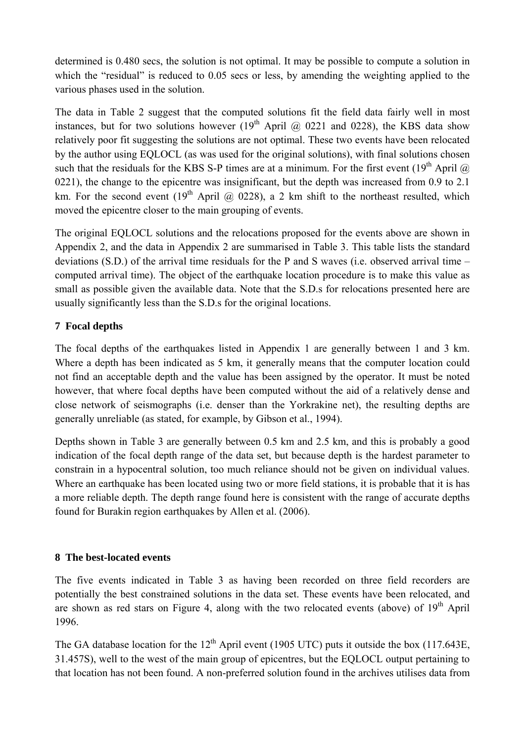determined is 0.480 secs, the solution is not optimal. It may be possible to compute a solution in which the "residual" is reduced to 0.05 secs or less, by amending the weighting applied to the various phases used in the solution.

The data in Table 2 suggest that the computed solutions fit the field data fairly well in most instances, but for two solutions however  $(19<sup>th</sup>$  April @ 0221 and 0228), the KBS data show relatively poor fit suggesting the solutions are not optimal. These two events have been relocated by the author using EQLOCL (as was used for the original solutions), with final solutions chosen such that the residuals for the KBS S-P times are at a minimum. For the first event (19<sup>th</sup> April  $\omega$ ) 0221), the change to the epicentre was insignificant, but the depth was increased from 0.9 to 2.1 km. For the second event (19<sup>th</sup> April @ 0228), a 2 km shift to the northeast resulted, which moved the epicentre closer to the main grouping of events.

The original EQLOCL solutions and the relocations proposed for the events above are shown in Appendix 2, and the data in Appendix 2 are summarised in Table 3. This table lists the standard deviations (S.D.) of the arrival time residuals for the P and S waves (i.e. observed arrival time – computed arrival time). The object of the earthquake location procedure is to make this value as small as possible given the available data. Note that the S.D.s for relocations presented here are usually significantly less than the S.D.s for the original locations.

## **7 Focal depths**

The focal depths of the earthquakes listed in Appendix 1 are generally between 1 and 3 km. Where a depth has been indicated as 5 km, it generally means that the computer location could not find an acceptable depth and the value has been assigned by the operator. It must be noted however, that where focal depths have been computed without the aid of a relatively dense and close network of seismographs (i.e. denser than the Yorkrakine net), the resulting depths are generally unreliable (as stated, for example, by Gibson et al., 1994).

Depths shown in Table 3 are generally between 0.5 km and 2.5 km, and this is probably a good indication of the focal depth range of the data set, but because depth is the hardest parameter to constrain in a hypocentral solution, too much reliance should not be given on individual values. Where an earthquake has been located using two or more field stations, it is probable that it is has a more reliable depth. The depth range found here is consistent with the range of accurate depths found for Burakin region earthquakes by Allen et al. (2006).

## **8 The best-located events**

The five events indicated in Table 3 as having been recorded on three field recorders are potentially the best constrained solutions in the data set. These events have been relocated, and are shown as red stars on Figure 4, along with the two relocated events (above) of  $19<sup>th</sup>$  April 1996.

The GA database location for the  $12<sup>th</sup>$  April event (1905 UTC) puts it outside the box (117.643E, 31.457S), well to the west of the main group of epicentres, but the EQLOCL output pertaining to that location has not been found. A non-preferred solution found in the archives utilises data from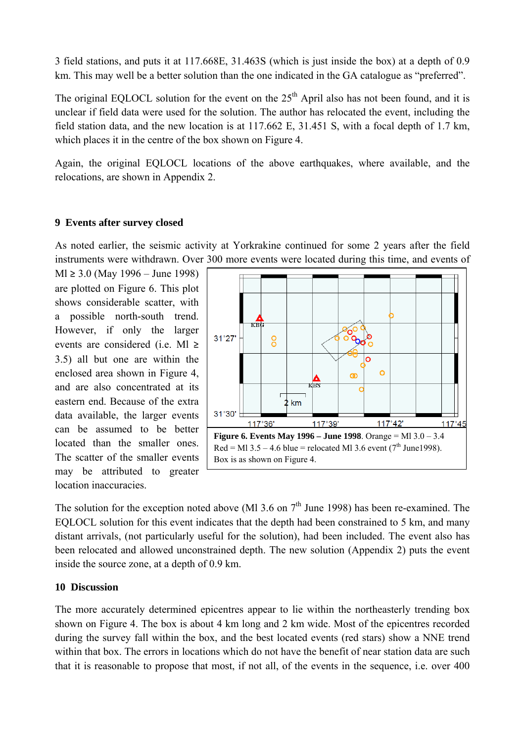3 field stations, and puts it at 117.668E, 31.463S (which is just inside the box) at a depth of 0.9 km. This may well be a better solution than the one indicated in the GA catalogue as "preferred".

The original EQLOCL solution for the event on the  $25<sup>th</sup>$  April also has not been found, and it is unclear if field data were used for the solution. The author has relocated the event, including the field station data, and the new location is at 117.662 E, 31.451 S, with a focal depth of 1.7 km, which places it in the centre of the box shown on Figure 4.

Again, the original EQLOCL locations of the above earthquakes, where available, and the relocations, are shown in Appendix 2.

### **9 Events after survey closed**

As noted earlier, the seismic activity at Yorkrakine continued for some 2 years after the field instruments were withdrawn. Over 300 more events were located during this time, and events of

Ml ≥ 3.0 (May 1996 – June 1998) are plotted on Figure 6. This plot shows considerable scatter, with a possible north-south trend. However, if only the larger events are considered (i.e. Ml ≥ 3.5) all but one are within the enclosed area shown in Figure 4, and are also concentrated at its eastern end. Because of the extra data available, the larger events can be assumed to be better located than the smaller ones. The scatter of the smaller events may be attributed to greater location inaccuracies.



The solution for the exception noted above (Ml 3.6 on  $7<sup>th</sup>$  June 1998) has been re-examined. The EQLOCL solution for this event indicates that the depth had been constrained to 5 km, and many distant arrivals, (not particularly useful for the solution), had been included. The event also has been relocated and allowed unconstrained depth. The new solution (Appendix 2) puts the event inside the source zone, at a depth of 0.9 km.

### **10 Discussion**

The more accurately determined epicentres appear to lie within the northeasterly trending box shown on Figure 4. The box is about 4 km long and 2 km wide. Most of the epicentres recorded during the survey fall within the box, and the best located events (red stars) show a NNE trend within that box. The errors in locations which do not have the benefit of near station data are such that it is reasonable to propose that most, if not all, of the events in the sequence, i.e. over 400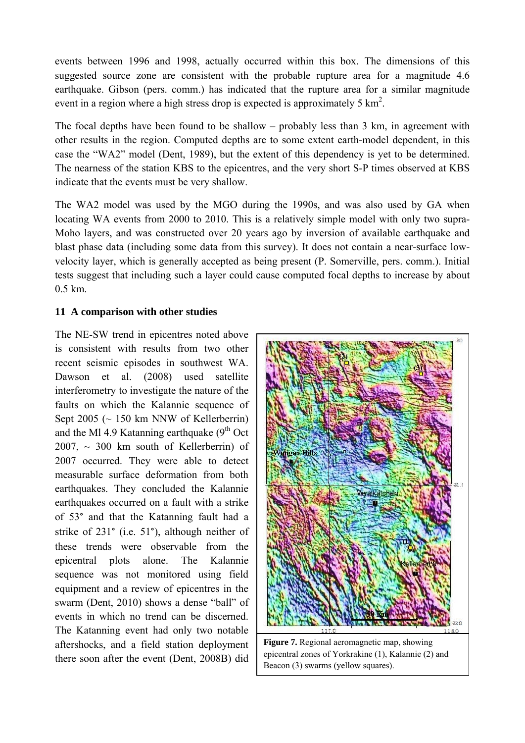events between 1996 and 1998, actually occurred within this box. The dimensions of this suggested source zone are consistent with the probable rupture area for a magnitude 4.6 earthquake. Gibson (pers. comm.) has indicated that the rupture area for a similar magnitude event in a region where a high stress drop is expected is approximately 5  $\text{km}^2$ .

The focal depths have been found to be shallow – probably less than 3 km, in agreement with other results in the region. Computed depths are to some extent earth-model dependent, in this case the "WA2" model (Dent, 1989), but the extent of this dependency is yet to be determined. The nearness of the station KBS to the epicentres, and the very short S-P times observed at KBS indicate that the events must be very shallow.

The WA2 model was used by the MGO during the 1990s, and was also used by GA when locating WA events from 2000 to 2010. This is a relatively simple model with only two supra-Moho layers, and was constructed over 20 years ago by inversion of available earthquake and blast phase data (including some data from this survey). It does not contain a near-surface lowvelocity layer, which is generally accepted as being present (P. Somerville, pers. comm.). Initial tests suggest that including such a layer could cause computed focal depths to increase by about 0.5 km.

## **11 A comparison with other studies**

The NE-SW trend in epicentres noted above is consistent with results from two other recent seismic episodes in southwest WA. Dawson et al. (2008) used satellite interferometry to investigate the nature of the faults on which the Kalannie sequence of Sept 2005 ( $\sim$  150 km NNW of Kellerberrin) and the Ml 4.9 Katanning earthquake  $(9<sup>th</sup> Oct$  $2007$ ,  $\sim$  300 km south of Kellerberrin) of 2007 occurred. They were able to detect measurable surface deformation from both earthquakes. They concluded the Kalannie earthquakes occurred on a fault with a strike of 53° and that the Katanning fault had a strike of 231° (i.e. 51°), although neither of these trends were observable from the epicentral plots alone. The Kalannie sequence was not monitored using field equipment and a review of epicentres in the swarm (Dent, 2010) shows a dense "ball" of events in which no trend can be discerned. The Katanning event had only two notable aftershocks, and a field station deployment there soon after the event (Dent, 2008B) did



**Figure 7.** Regional aeromagnetic map, showing epicentral zones of Yorkrakine (1), Kalannie (2) and Beacon (3) swarms (yellow squares).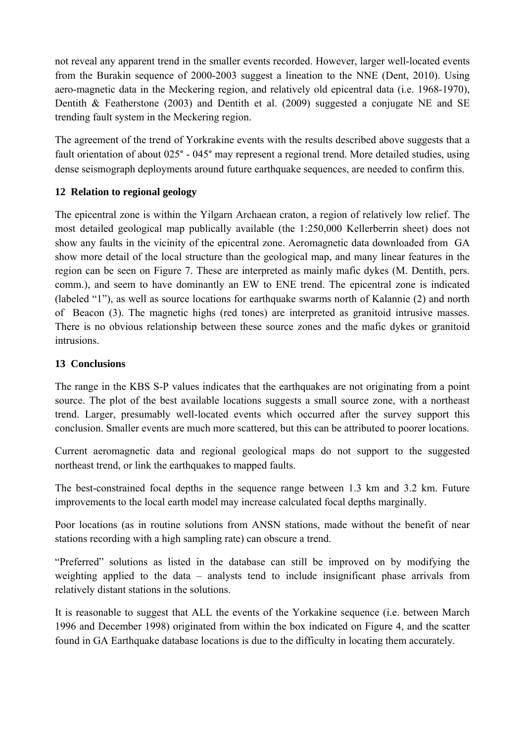not reveal any apparent trend in the smaller events recorded. However, larger well-located events from the Burakin sequence of 2000-2003 suggest a lineation to the NNE (Dent, 2010). Using aero-magnetic data in the Meckering region, and relatively old epicentral data (i.e. 1968-1970), Dentith & Featherstone (2003) and Dentith et al. (2009) suggested a conjugate NE and SE trending fault system in the Meckering region.

The agreement of the trend of Yorkrakine events with the results described above suggests that a fault orientation of about 025° - 045° may represent a regional trend. More detailed studies, using dense seismograph deployments around future earthquake sequences, are needed to confirm this.

## **12 Relation to regional geology**

The epicentral zone is within the Yilgarn Archaean craton, a region of relatively low relief. The most detailed geological map publically available (the 1:250,000 Kellerberrin sheet) does not show any faults in the vicinity of the epicentral zone. Aeromagnetic data downloaded from GA show more detail of the local structure than the geological map, and many linear features in the region can be seen on Figure 7. These are interpreted as mainly mafic dykes (M. Dentith, pers. comm.), and seem to have dominantly an EW to ENE trend. The epicentral zone is indicated (labeled "1"), as well as source locations for earthquake swarms north of Kalannie (2) and north of Beacon (3). The magnetic highs (red tones) are interpreted as granitoid intrusive masses. There is no obvious relationship between these source zones and the mafic dykes or granitoid intrusions.

## **13 Conclusions**

The range in the KBS S-P values indicates that the earthquakes are not originating from a point source. The plot of the best available locations suggests a small source zone, with a northeast trend. Larger, presumably well-located events which occurred after the survey support this conclusion. Smaller events are much more scattered, but this can be attributed to poorer locations.

Current aeromagnetic data and regional geological maps do not support to the suggested northeast trend, or link the earthquakes to mapped faults.

The best-constrained focal depths in the sequence range between 1.3 km and 3.2 km. Future improvements to the local earth model may increase calculated focal depths marginally.

Poor locations (as in routine solutions from ANSN stations, made without the benefit of near stations recording with a high sampling rate) can obscure a trend.

"Preferred" solutions as listed in the database can still be improved on by modifying the weighting applied to the data – analysts tend to include insignificant phase arrivals from relatively distant stations in the solutions.

It is reasonable to suggest that ALL the events of the Yorkakine sequence (i.e. between March 1996 and December 1998) originated from within the box indicated on Figure 4, and the scatter found in GA Earthquake database locations is due to the difficulty in locating them accurately.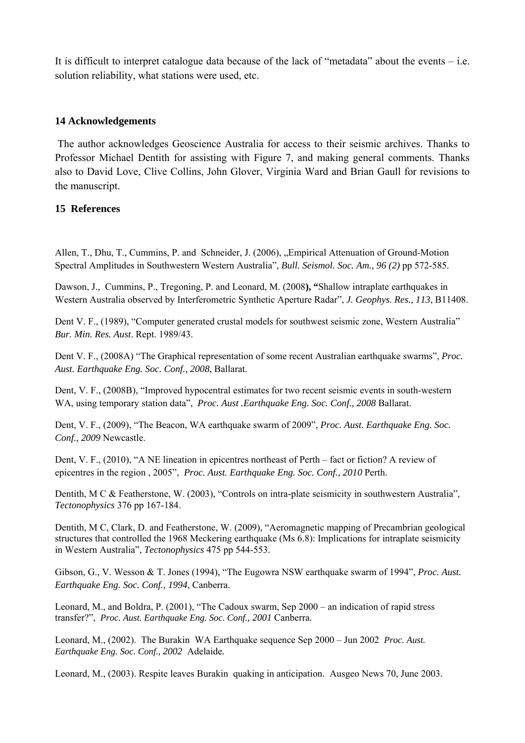It is difficult to interpret catalogue data because of the lack of "metadata" about the events – i.e. solution reliability, what stations were used, etc.

### **14 Acknowledgements**

 The author acknowledges Geoscience Australia for access to their seismic archives. Thanks to Professor Michael Dentith for assisting with Figure 7, and making general comments. Thanks also to David Love, Clive Collins, John Glover, Virginia Ward and Brian Gaull for revisions to the manuscript.

### **15 References**

Allen, T., Dhu, T., Cummins, P. and Schneider, J. (2006), "Empirical Attenuation of Ground-Motion Spectral Amplitudes in Southwestern Western Australia", *Bull. Seismol. Soc. Am., 96 (2)* pp 572-585.

Dawson, J., Cummins, P., Tregoning, P. and Leonard, M. (2008**), "**Shallow intraplate earthquakes in Western Australia observed by Interferometric Synthetic Aperture Radar", *J. Geophys. Res., 113*, B11408.

Dent V. F., (1989), "Computer generated crustal models for southwest seismic zone, Western Australia" *Bur. Min. Res. Aust*. Rept. 1989/43.

Dent V. F., (2008A) "The Graphical representation of some recent Australian earthquake swarms", *Proc. Aust. Earthquake Eng. Soc. Conf., 2008*, Ballarat.

Dent, V. F., (2008B), "Improved hypocentral estimates for two recent seismic events in south-western WA, using temporary station data", *Proc. Aust .Earthquake Eng. Soc. Conf., 2008* Ballarat.

Dent, V. F., (2009), "The Beacon, WA earthquake swarm of 2009", *Proc. Aust. Earthquake Eng. Soc. Conf., 2009* Newcastle.

Dent, V. F., (2010), "A NE lineation in epicentres northeast of Perth – fact or fiction? A review of epicentres in the region , 2005", *Proc. Aust. Earthquake Eng. Soc. Conf., 2010* Perth.

Dentith, M C & Featherstone, W. (2003), "Controls on intra-plate seismicity in southwestern Australia", *Tectonophysics* 376 pp 167-184.

Dentith, M C, Clark, D. and Featherstone, W. (2009), "Aeromagnetic mapping of Precambrian geological structures that controlled the 1968 Meckering earthquake (Ms 6.8): Implications for intraplate seismicity in Western Australia", *Tectonophysics* 475 pp 544-553.

Gibson, G., V. Wesson & T. Jones (1994), "The Eugowra NSW earthquake swarm of 1994", *Proc. Aust. Earthquake Eng. Soc. Conf., 1994*, Canberra.

Leonard, M., and Boldra, P. (2001), "The Cadoux swarm, Sep 2000 – an indication of rapid stress transfer?", *Proc. Aust. Earthquake Eng. Soc. Conf., 2001* Canberra*.* 

Leonard, M., (2002). The Burakin WA Earthquake sequence Sep 2000 – Jun 2002 *Proc. Aust. Earthquake Eng. Soc. Conf., 2002* Adelaide*.* 

Leonard, M., (2003). Respite leaves Burakin quaking in anticipation. Ausgeo News 70, June 2003.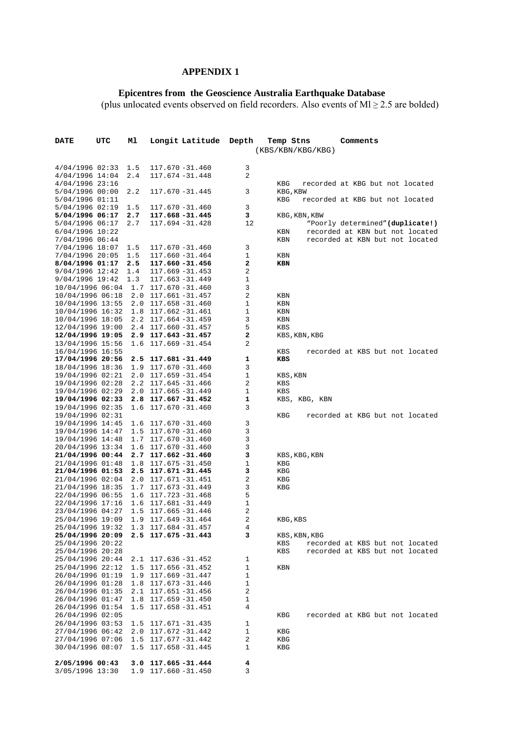#### **APPENDIX 1**

#### **Epicentres from the Geoscience Australia Earthquake Database**

(plus unlocated events observed on field recorders. Also events of  $Ml \ge 2.5$  are bolded)

| <b>DATE</b>                            | UTC | мl         | Longit Latitude                                  | Depth        | Temp Stns            | Comments                                                           |
|----------------------------------------|-----|------------|--------------------------------------------------|--------------|----------------------|--------------------------------------------------------------------|
|                                        |     |            |                                                  |              | (KBS/KBN/KBG/KBG)    |                                                                    |
|                                        |     |            |                                                  |              |                      |                                                                    |
| $4/04/1996$ 02:33                      |     | 1.5        | 117.670 -31.460                                  | 3            |                      |                                                                    |
| $4/04/1996$ 14:04                      |     | 2.4        | 117.674 -31.448                                  | 2            |                      |                                                                    |
| $4/04/1996$ 23:16<br>$5/04/1996$ 00:00 |     | 2.2        | 117.670 -31.445                                  | 3            | KBG<br>KBG, KBW      | recorded at KBG but not located                                    |
| 5/04/1996 01:11                        |     |            |                                                  |              | KBG                  | recorded at KBG but not located                                    |
| $5/04/1996$ 02:19                      |     | 1.5        | 117.670 -31.460                                  | 3            |                      |                                                                    |
| 5/04/1996 06:17                        |     | 2.7        | 117.668 -31.445                                  | 3            | KBG, KBN, KBW        |                                                                    |
| 5/04/1996 06:17                        |     | 2.7        | 117.694 -31.428                                  | 12           |                      | "Poorly determined" (duplicate!)                                   |
| 6/04/1996 10:22                        |     |            |                                                  |              | KBN                  | recorded at KBN but not located                                    |
| 7/04/1996 06:44                        |     |            |                                                  |              | KBN                  | recorded at KBN but not located                                    |
| 7/04/1996 18:07                        |     | 1.5<br>1.5 | 117.670 -31.460                                  | 3<br>1       |                      |                                                                    |
| 7/04/1996 20:05<br>$8/04/1996$ 01:17   |     | 2.5        | 117.660 -31.464<br>117.660 -31.456               | 2            | KBN<br>KBN           |                                                                    |
| $9/04/1996$ 12:42                      |     | 1.4        | $117.669 - 31.453$                               | 2            |                      |                                                                    |
| $9/04/1996$ 19:42                      |     | 1.3        | 117.663 -31.449                                  | 1            |                      |                                                                    |
| 10/04/1996 06:04                       |     |            | 1.7 117.670 -31.460                              | 3            |                      |                                                                    |
| 10/04/1996 06:18                       |     |            | 2.0 117.661 -31.457                              | 2            | KBN                  |                                                                    |
| 10/04/1996 13:55                       |     | 2.0        | 117.658 -31.460                                  | 1            | KBN                  |                                                                    |
| 10/04/1996 16:32                       |     |            | 1.8 117.662 -31.461                              | 1            | KBN                  |                                                                    |
| 10/04/1996 18:05                       |     |            | $2.2$ 117.664 -31.459                            | 3            | KBN                  |                                                                    |
| 12/04/1996 19:00<br>12/04/1996 19:05   |     |            | $2.4$ 117.660 - 31.457<br>2.9 117.643 -31.457    | 5<br>2       | KBS<br>KBS, KBN, KBG |                                                                    |
| 13/04/1996 15:56                       |     |            | 1.6 117.669 -31.454                              | 2            |                      |                                                                    |
| 16/04/1996 16:55                       |     |            |                                                  |              | KBS                  | recorded at KBS but not located                                    |
| 17/04/1996 20:56                       |     |            | 2.5 117.681 -31.449                              | 1            | KBS                  |                                                                    |
| 18/04/1996 18:36                       |     | 1.9        | 117.670 -31.460                                  | 3            |                      |                                                                    |
| 19/04/1996 02:21                       |     |            | $2.0$ 117.659 -31.454                            | 1            | KBS, KBN             |                                                                    |
| 19/04/1996 02:28                       |     |            | $2.2$ 117.645 - 31.466                           | 2            | KBS                  |                                                                    |
| 19/04/1996 02:29                       |     |            | $2.0$ 117.665 - 31.449                           | 1            | KBS                  |                                                                    |
| 19/04/1996 02:33<br>19/04/1996 02:35   |     | 1.6        | $2.8$ 117.667-31.452<br>117.670 -31.460          | 1<br>3       | KBS, KBG, KBN        |                                                                    |
| 19/04/1996 02:31                       |     |            |                                                  |              | KBG                  | recorded at KBG but not located                                    |
| 19/04/1996 14:45                       |     |            | 1.6 117.670 -31.460                              | 3            |                      |                                                                    |
| 19/04/1996 14:47                       |     |            | 1.5 117.670 -31.460                              | 3            |                      |                                                                    |
| 19/04/1996 14:48                       |     |            | 1.7 117.670 -31.460                              | 3            |                      |                                                                    |
| 20/04/1996 13:34                       |     |            | 1.6 117.670 -31.460                              | 3            |                      |                                                                    |
| 21/04/1996 00:44                       |     |            | $2.7$ 117.662-31.460                             | з            | KBS, KBG, KBN        |                                                                    |
| 21/04/1996 01:48                       |     | 1.8        | 117.675 -31.450<br>$2.5$ 117.671 -31.445         | 1<br>3       | KBG                  |                                                                    |
| 21/04/1996 01:53<br>21/04/1996 02:04   |     | 2.0        | 117.671 –31.451                                  | 2            | KBG<br>KBG           |                                                                    |
| 21/04/1996 18:35                       |     |            | 1.7 117.673 -31.449                              | 3            | KBG                  |                                                                    |
| 22/04/1996 06:55                       |     |            | 1.6 117.723 -31.468                              | 5            |                      |                                                                    |
| 22/04/1996 17:16                       |     |            | 1.6 117.681 -31.449                              | 1            |                      |                                                                    |
| 23/04/1996 04:27                       |     |            | $1.5$ 117.665 -31.446                            | 2            |                      |                                                                    |
| 25/04/1996 19:09                       |     |            | $1.9$ 117.649 -31.464                            | 2            | KBG, KBS             |                                                                    |
| 25/04/1996 19:32                       |     |            | 1.3 117.684 -31.457                              | 4            |                      |                                                                    |
| 25/04/1996 20:09                       |     |            | $2.5$ 117.675 - 31.443                           | 3            | KBS, KBN, KBG        |                                                                    |
| 25/04/1996 20:22<br>25/04/1996 20:28   |     |            |                                                  |              | KBS<br>KBS           | recorded at KBS but not located<br>recorded at KBS but not located |
| 25/04/1996 20:44                       |     |            | $2.1$ 117.636 -31.452                            | 1            |                      |                                                                    |
| 25/04/1996 22:12                       |     |            | $1.5$ 117.656 -31.452                            | 1            | KBN                  |                                                                    |
| 26/04/1996 01:19                       |     |            | $1.9$ 117.669 - 31.447                           | 1            |                      |                                                                    |
| 26/04/1996 01:28                       |     |            | $1.8$ 117.673 - 31.446                           | 1            |                      |                                                                    |
| 26/04/1996 01:35                       |     |            | $2.1$ 117.651 - 31.456                           | 2            |                      |                                                                    |
| 26/04/1996 01:47                       |     |            | $1.8$ 117.659 -31.450                            | 1            |                      |                                                                    |
| 26/04/1996 01:54                       |     |            | 1.5 117.658 -31.451                              | 4            |                      |                                                                    |
| 26/04/1996 02:05                       |     |            |                                                  |              | KBG                  | recorded at KBG but not located                                    |
| 26/04/1996 03:53                       |     |            | $1.5$ $117.671 - 31.435$                         | $\mathbf{1}$ |                      |                                                                    |
| 27/04/1996 06:42<br>27/04/1996 07:06   |     |            | $2.0$ 117.672 - 31.442<br>$1.5$ 117.677 - 31.442 | 1<br>2       | KBG<br>KBG           |                                                                    |
| 30/04/1996 08:07                       |     |            | $1.5$ 117.658 -31.445                            | 1            | KBG                  |                                                                    |
|                                        |     |            |                                                  |              |                      |                                                                    |
| 2/05/1996 00:43                        |     |            | $3.0$ 117.665 - 31.444                           | 4            |                      |                                                                    |
| 3/05/1996 13:30                        |     |            | 1.9 117.660 - 31.450                             | 3            |                      |                                                                    |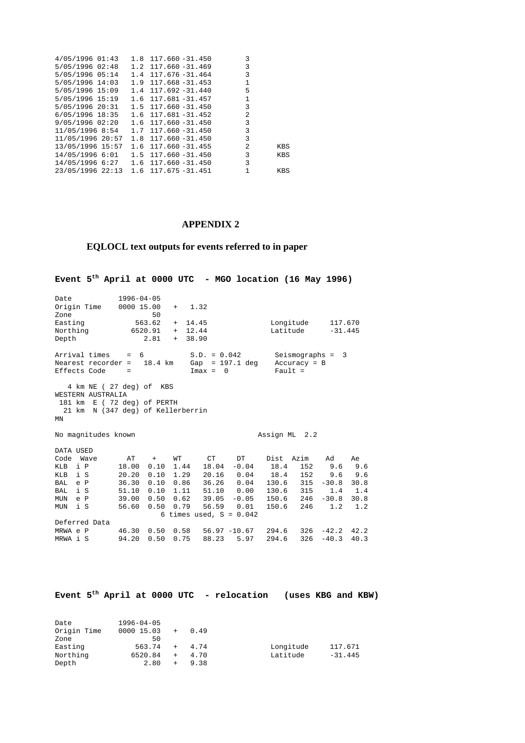| 4/05/1996 01:43                             | $1.8$ 117.660 -31.450    | 3        |     |
|---------------------------------------------|--------------------------|----------|-----|
| 5/05/1996 02:48                             | $1.2$ 117.660 - 31.469 3 |          |     |
| 5/05/1996 05:14                             | $1.4$ 117.676 - 31.464 3 |          |     |
| $5/05/1996$ 14:03 1.9 117.668-31.453 1      |                          |          |     |
| $5/05/1996$ 15:09 1.4 117.692-31.440        |                          | $5 - 5$  |     |
| 5/05/1996 15:19   1.6   117.681 -31.457   1 |                          |          |     |
| $5/05/1996$ $20:31$ 1.5 117.660 -31.450     |                          | $\sim$ 3 |     |
| 6/05/1996 18:35 1.6 117.681 -31.452         |                          | 2        |     |
| $9/05/1996$ $02:20$ 1.6 117.660 -31.450     |                          | $\sim$ 3 |     |
| 11/05/1996 8:54   1.7   117.660 -31.450     |                          | 3        |     |
| 11/05/1996 20:57                            | $1.8$ 117.660 -31.450    | 3        |     |
| 13/05/1996 15:57                            | $1.6$ 117.660 - 31.455 2 |          | KBS |
| 14/05/1996 6:01   1.5   117.660 -31.450     |                          | $\sim$ 3 | KBS |
| 14/05/1996 6:27   1.6   117.660 -31.450     |                          | 3        |     |
| 23/05/1996 22:13 1.6 117.675 -31.451 1      |                          |          | KBS |
|                                             |                          |          |     |

#### **APPENDIX 2**

#### **EQLOCL text outputs for events referred to in paper**

**Event 5th April at 0000 UTC - MGO location (16 May 1996)**  Date 1996-04-05<br>Origin Time 0000 15.00 Origin Time 0000 15.00 + 1.32 zone 50<br>Easting 563.62 Easting 563.62 + 14.45 Longitude 117.670 Northing 6520.91 + 12.44 Latitude -31.445 Depth 2.81 + 38.90 Arrival times =  $6$  S.D. =  $0.042$  Seismographs = 3<br>Nearest recorder =  $18.4$  km Gap =  $197.1$  deg Accuracy = B Nearest recorder =  $18.4 \text{ km}$  Gap = 197.1 deg Accurac<br>Effects Code =  $\text{Imax} = 0$  Fault =  $Effects Code =$  4 km NE ( 27 deg) of KBS WESTERN AUSTRALIA 181 km E ( 72 deg) of PERTH 21 km N (347 deg) of Kellerberrin MN No magnitudes known and the control of the Assign ML 2.2 DATA USED Code Wave AT + WT CT DT Dist Azim Ad Ae<br>
KLB i P 18.00 0.10 1.44 18.04 -0.04 18.4 152 9.6 9.6<br>
KLB i S 20.20 0.10 1.29 20.16 0.04 18.4 152 9.6 9.6 KLB i P 18.00 0.10 1.44 18.04 -0.04 18.4 152 9.6 9.6 KLB i S 20.20 0.10 1.29 20.16 0.04 18.4 152 9.6 9.6 BAL e P 36.30 0.10 0.86 36.26 0.04 130.6 315 -30.8 30.8<br>BAL i S 51.10 0.10 1.11 51.10 0.00 130.6 315 1.4 1.4<br>MUN e P 39.00 0.50 0.62 39.05 -0.05 150.6 246 -30.8 30.8 BAL i S 51.10 0.10 1.11 51.10 0.00 130.6 315 1.4 1.4 MUN e P 39.00 0.50 0.62 39.05 -0.05 150.6 246 -30.8 30.8 MUN i S 56.60 0.50 0.79 56.59 0.01 150.6 246 1.2 1.2 6 times used,  $S = 0.042$ Deferred Data<br>
MRWA e P 46.30 0.50 0.58<br>
MRWA i S 94.20 0.50 0.75 MRWA e P 46.30 0.50 0.58 56.97 -10.67 294.6 326 -42.2 42.2 MRWA i S 94.20 0.50 0.75 88.23 5.97 294.6 326 -40.3 40.3

|             |  |                  |      |     |      | Event $5^{th}$ April at 0000 UTC - relocation | (uses KBG and KBW) |           |  |
|-------------|--|------------------|------|-----|------|-----------------------------------------------|--------------------|-----------|--|
|             |  |                  |      |     |      |                                               |                    |           |  |
|             |  |                  |      |     |      |                                               |                    |           |  |
| Date        |  | $1996 - 04 - 05$ |      |     |      |                                               |                    |           |  |
| Origin Time |  | 0000 15.03       | $+$  |     | 0.49 |                                               |                    |           |  |
| Zone        |  |                  | 50   |     |      |                                               |                    |           |  |
| Easting     |  | 563.74           |      | $+$ | 4.74 |                                               | Longitude          | 117.671   |  |
| Northing    |  | 6520.84          |      | $+$ | 4.70 |                                               | Latitude           | $-31.445$ |  |
| Depth       |  |                  | 2.80 | $+$ | 9.38 |                                               |                    |           |  |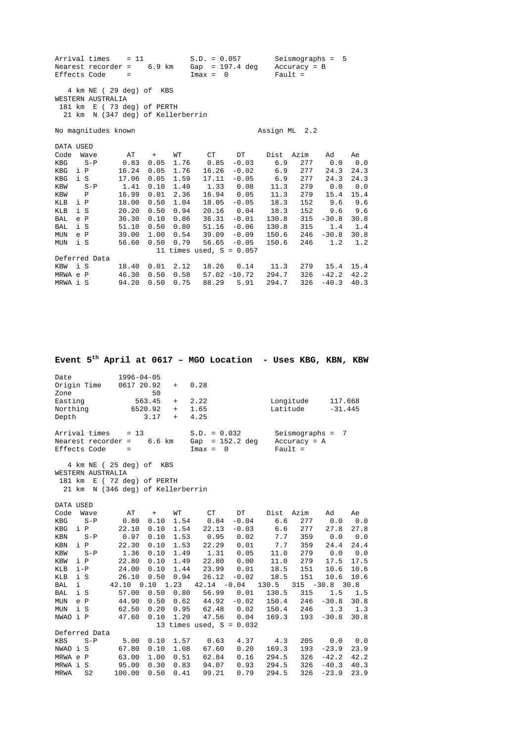|                   | Arrival times<br>Nearest recorder =<br>Effects Code                                                             | $= 11$<br>$=$  | 6.9 km       |              | $S.D. = 0.057$<br>Gap<br>$Imax = 0$ | = 197.4 deg        | $Pault =$     | $Seismography = 5$<br>$Accuracy = B$ |             |             |
|-------------------|-----------------------------------------------------------------------------------------------------------------|----------------|--------------|--------------|-------------------------------------|--------------------|---------------|--------------------------------------|-------------|-------------|
|                   | 4 km NE (29 deg) of KBS<br>WESTERN AUSTRALIA<br>181 km E (73 deg) of PERTH<br>21 km N (347 deg) of Kellerberrin |                |              |              |                                     |                    |               |                                      |             |             |
|                   | No magnitudes known                                                                                             |                |              |              |                                     |                    | Assign ML 2.2 |                                      |             |             |
| DATA USED<br>Code | Wave                                                                                                            | AT             | $+$          | WТ           | CT                                  | DT                 | Dist          | Azim                                 | Ad          | Ae          |
| KBG<br>KBG        | $S - P$<br>i P                                                                                                  | 0.83<br>16.24  | 0.05<br>0.05 | 1.76<br>1.76 | 0.85<br>16.26                       | $-0.03$<br>$-0.02$ | 6.9<br>6.9    | 277<br>277                           | 0.0<br>24.3 | 0.0<br>24.3 |
| KBG               | i S                                                                                                             | 17.06          | 0.05         | 1.59         | 17.11                               | $-0.05$            | 6.9           | 277                                  | 24.3        | 24.3        |
| KBW               | $S - P$                                                                                                         | 1.41           | 0.10         | 1.49         | 1.33                                | 0.08               | 11.3          | 279                                  | 0.0         | 0.0         |
| KBW               | $\mathbf{P}$                                                                                                    | 16.99          | 0.01         | 2.36         | 16.94                               | 0.05               | 11.3          | 279                                  | 15.4        | 15.4        |
| KLB               | i P                                                                                                             | 18.00          | 0.50         | 1.04         | 18.05                               | $-0.05$            | 18.3          | 152                                  | 9.6         | 9.6         |
| KLB               | i S                                                                                                             | 20.20          | 0.50         | 0.94         | 20.16                               | 0.04               | 18.3          | 152                                  | 9.6         | 9.6         |
| BAL               | e P                                                                                                             | 36.30          | 0.10         | 0.86         | 36.31                               | $-0.01$            | 130.8         | 315                                  | $-30.8$     | 30.8        |
| BAL               | i S                                                                                                             | 51.10          | 0.50         |              | $0.80$ 51.16                        | $-0.06$            | 130.8         | 315                                  | 1.4         | 1.4         |
| MUN               | e P                                                                                                             | 39.00          | 1.00         |              | $0.54$ 39.09                        | $-0.09$            | 150.6         | 246                                  | $-30.8$     | 30.8        |
| MUN               | i S                                                                                                             | 56.60          | 0.50         | 0.79         | 56.65                               | $-0.05$            | 150.6         | 246                                  | 1.2         | 1.2         |
|                   |                                                                                                                 |                |              |              | 11 times used, $S = 0.057$          |                    |               |                                      |             |             |
|                   | Deferred Data<br>i S                                                                                            |                | 0.01         | 2.12         |                                     | 0.14               |               | 279                                  | 15.4        | 15.4        |
| KBW<br>MRWA e P   |                                                                                                                 | 18.40<br>46.30 | 0.50         | 0.58         | 18.26                               | $57.02 - 10.72$    | 11.3<br>294.7 | 326                                  | $-42.2$     | 42.2        |
| MRWA i S          |                                                                                                                 | 94.20          | 0.50         | 0.75         | 88.29                               | 5.91               | 294.7         | 326                                  | $-40.3$     | 40.3        |

**Event 5th April at 0617 – MGO Location - Uses KBG, KBN, KBW**  Date 1996-04-05<br>Origin Time 0617 20.92 Origin Time 0617 20.92 + 0.28<br>Zone 50 Zone 50<br>Easting 563.45 Easting 563.45 + 2.22 Longitude 117.668<br>Northing 5520.92 + 1.65 Latitude -31.445  $+$  2.22<br>+ 1.65 Depth 3.17 + 4.25 Arrival times = 13 S.D. = 0.032 Seismographs = 7 Nearest recorder =  $6.6 \text{ km}$  Gap =  $152.2 \text{ deg}$  Accuracy = A<br>Effects Code =  $\text{Im}ax = 0$  Fault = Effects Code = Imax = 0 Fault = 4 km NE ( 25 deg) of KBS WESTERN AUSTRALIA 181 km E ( 72 deg) of PERTH 21 km N (346 deg) of Kellerberrin DATA USED Code Wave AT + WT CT DT Dist Azim Ad Ae KBG S-P 0.80 0.10 1.54 0.84 -0.04 6.6 277 0.0 0.0 KBG i P 22.10 0.10 1.54 22.13 -0.03 6.6 277 27.8 27.8 KBN S-P 0.97 0.10 1.53 0.95 0.02 7.7 359 0.0 0.0 KBN i P 22.30 0.10 1.53 22.29 0.01 7.7 359 24.4 24.4 KBW S-P 1.36 0.10 1.49 1.31 0.05 11.0 279 0.0 0.0 KBW i P 22.80 0.10 1.49 22.80 0.00 11.0 279 17.5 17.5 KLB i-P 24.00 0.10 1.44 23.99 0.01 18.5 151 10.6 10.6 KLB i S 26.10 0.50 0.94 26.12 -0.02 18.5 151 10.6 10.6 XLB i S 26.10 0.50 0.94 26.12 -0.02 18.5 151 10.6 10.<br>BAL i 42.10 0.10 1.23 42.14 -0.04 130.5 315 -30.8 30.8<br>BAL i S 57.00 0.50 0.80 56.99 0.01 130.5 315 1.5 1. 57.00 0.50 0.80 56.99 0.01 130.5 315 1.5 1.5<br>44.90 0.50 0.62 44.92 -0.02 150.4 246 -30.8 30.8<br>62.50 0.20 0.95 62.48 0.02 150.4 246 1.3 1.3 MUN e P 44.90 0.50 0.62 44.92 -0.02 150.4 246 -30.8 30.8 MUN i S 62.50 0.20 0.95 62.48 0.02 150.4 246 1.3 1.3 NWAO i P 47.60 0.10 1.20 47.56 0.04 169.3 193 -30.8 30.8 13 times used, S = 0.032 Deferred Data<br>KBS S-P KBS S-P 5.00 0.10 1.57 0.63 4.37 4.3 205 0.0 0.0 NWAO i S 67.80 0.10 1.08 67.60 0.20 169.3 193 -23.9 23.9 MRWA e P 63.00 1.00 0.51 62.84 0.16 294.5 326 -42.2 42.2 MRWA i S 95.00 0.30 0.83 94.07 0.93 294.5 326 -40.3 40.3 MRWA S2 100.00 0.50 0.41 99.21 0.79 294.5 326 -23.9 23.9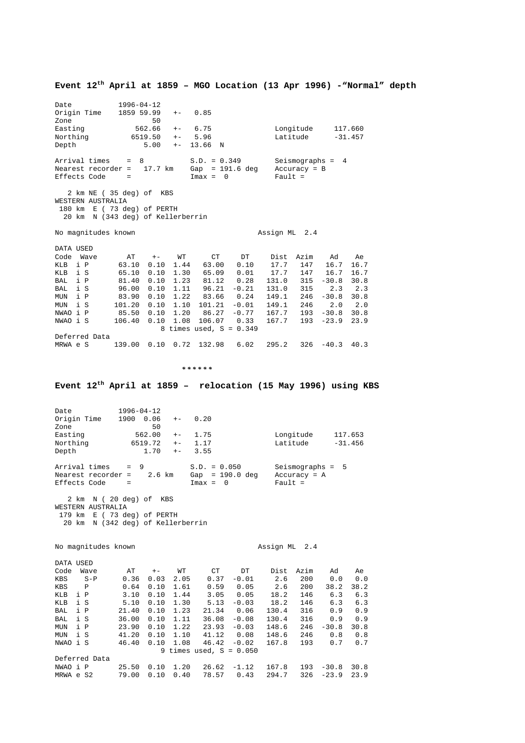**Event 12th April at 1859 – MGO Location (13 Apr 1996) -"Normal" depth**  Date 1996-04-12 Origin Time 1859 59.99 +- 0.85<br>Zone 50 zone 50<br>Easting 562.66 Easting 562.66 +- 6.75 Longitude 117.660 Northing 6519.50 +- 5.96 Latitude -31.457 Depth 5.00 +- 13.66 N Arrival times = 8 S.D. = 0.349 Seismographs = 4 Nearest recorder = 17.7 km Gap = 191.6 deg Accuracy = B Effects Code = Imax = 0 Fault = 2 km NE ( 35 deg) of KBS WESTERN AUSTRALIA 180 km E ( 73 deg) of PERTH 20 km N (343 deg) of Kellerberrin No magnitudes known and the contract of the Assign ML 2.4 DATA USED Code Wave AT +- WT CT DT Dist Azim Ad Ae KLB i P 63.10 0.10 1.44 63.00 0.10 17.7 147 16.7 16.7 KLB i S 65.10 0.10 1.30 65.09 0.01 17.7 147 16.7 16.7 BAL i P 81.40 0.10 1.23 81.12 0.28 131.0 315 -30.8 30.8 BAL i S 96.00 0.10 1.11 96.21 -0.21 131.0 315 2.3 2.3 MUN i P 83.90 0.10 1.22 83.66 0.24 149.1 246 -30.8 30.8 MUN i S 101.20 0.10 1.10 101.21 -0.01 149.1 246 2.0 2.0 NWAO i P 85.50 0.10 1.20 86.27 -0.77 167.7 193 -30.8 30.8 NWAO i S 106.40 0.10 1.08 106.07 0.33 167.7 193 -23.9 23.9 8 times used,  $S = 0.349$ Deferred Data MRWA e S 139.00 0.10 0.72 132.98 6.02 295.2 326 -40.3 40.3  *\* \* \* \* \* \** **Event 12th April at 1859 – relocation (15 May 1996) using KBS**  Date 1996-04-12<br>Origin Time 1900 0.06  $1900$  0.06 +- 0.20 Zone 50<br>Easting 562.00 Easting 562.00 +- 1.75 Longitude 117.653<br>Northing 6519.72 +- 1.17 Latitude -31.456<br>Depth 1.70 +- 3.55 1.72 +- 1.17 Latitude - Latitude - 1.70 +- 3.55 Depth Arrival times = 9 S.D. = 0.050 Seismographs = 5 Nearest recorder = 2.6 km Gap = 190.0 deg Accuracy = A Effects Code = Imax = 0 Fault = 2 km N ( 20 deg) of KBS WESTERN AUSTRALIA 179 km E ( 73 deg) of PERTH 20 km N (342 deg) of Kellerberrin No magnitudes known Assign ML 2.4 DATA USED Code Wave AT +- WT CT DT Dist Azim Ad Ae<br>
KBS S-P 0.36 0.03 2.05 0.37 -0.01 2.6 200 0.0 0.0<br>
KBS P 0.64 0.10 1.61 0.59 0.05 2.6 200 38.2 38.2 XBS S-P 0.36 0.03 2.05 0.37 -0.01 2.6 200 0.0 0.0<br>
XBS P 0.64 0.10 1.61 0.59 0.05 2.6 200 38.2 38.2 XBS P 0.64 0.10 1.61 0.59 0.05 2.6 200 38.2 38.2<br>
XLB i P 3.10 0.10 1.44 3.05 0.05 18.2 146 6.3 6.3<br>
XLB i S 5.10 0.10 1.30 5.13 -0.03 18.2 146 6.3 6.3 KLB i P 3.10 0.10 1.44 3.05 0.05 18.2 146 6.3 6.3 KLB i S 5.10 0.10 1.30 5.13 -0.03 18.2 146 6.3 6.3 BAL i P 21.40 0.10 1.23 21.34 0.06 130.4 316 0.9 0.9 BAL i S 36.00 0.10 1.11 36.08 -0.08 130.4 316 0.9 0.9 MUN i P 23.90 0.10 1.22 23.93 -0.03 148.6 246 -30.8 30.8 MUN i S 41.20 0.10 1.10 41.12 0.08 148.6 246 0.8 0.8 NWAO i S 46.40 0.10 1.08 46.42 -0.02 167.8 193 0.7 0.7 9 times used,  $S = 0.050$ Deferred Data<br>NWAO i P NWAO i P 25.50 0.10 1.20 26.62 -1.12 167.8 193 -30.8 30.8 MRWA e S2 79.00 0.10 0.40 78.57 0.43 294.7 326 -23.9 23.9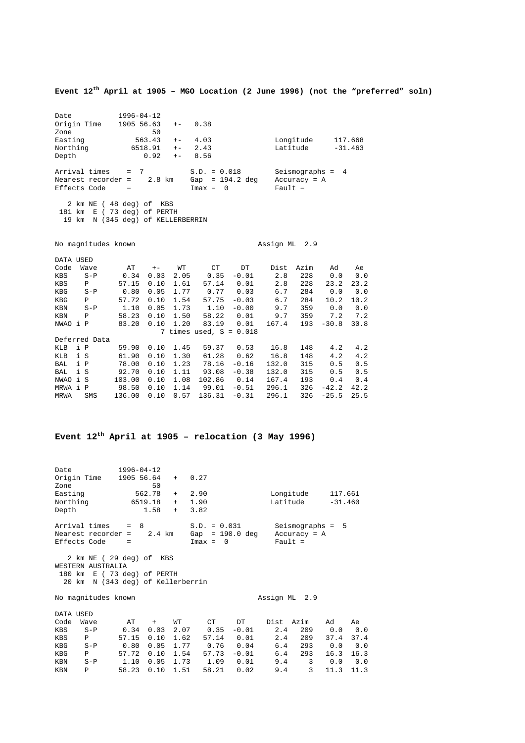**Event 12th April at 1905 – MGO Location (2 June 1996) (not the "preferred" soln)** 

Date 1996-04-12<br>Origin Time 1905 56.63  $1905 56.63 + - 0.38$ Zone 50 Easting 563.43 +- 4.03 Longitude 117.668<br>Northing 6518.91 +- 2.43 Latitude -31.463 Northing 6518.91 +- 2.43 Latitude -31.463 Depth 0.92 +- 8.56 Arrival times = 7 S.D. = 0.018 Seismographs = 4 Nearest recorder = 2.8 km Gap = 194.2 deg Accuracy = A Effects Code  $=$  Imax = 0 Fault = 2 km NE ( 48 deg) of KBS 181 km E ( 73 deg) of PERTH 19 km N (345 deg) of KELLERBERRIN No magnitudes known and the contract of the Assign ML 2.9 DATA USED Code Wave AT +- WT CT DT Dist Azim Ad Ae KBS S-P 0.34 0.03 2.05 0.35 -0.01 2.8 228 0.0 0.0 KBS P 57.15 0.10 1.61 57.14 0.01 2.8 228 23.2 23.2 KBG S-P 0.80 0.05 1.77 0.77 0.03 6.7 284 0.0 0.0 KBG P 57.72 0.10 1.54 57.75 -0.03 6.7 284 10.2 10.2 KBN S-P 1.10 0.05 1.73 1.10 -0.00 9.7 359 0.0 0.0 KBN P 58.23 0.10 1.50 58.22 0.01 9.7 359 7.2 7.2 NWAO i P 83.20 0.10 1.20 83.19 0.01 167.4 193 -30.8 30.8 7 times used, S = 0.018 Deferred Data KLB i P 59.90 0.10 1.45 59.37 0.53 16.8 148 4.2 4.2 KLB i S 61.90 0.10 1.30 61.28 0.62 16.8 148 4.2 4.2 BAL i P 78.00 0.10 1.23 78.16 -0.16 132.0 315 0.5 0.5 BAL i S 92.70 0.10 1.11 93.08 -0.38 132.0 315 0.5 0.5 NWAO i S 103.00 0.10 1.08 102.86 0.14 167.4 193 0.4 0.4 MRWA i P 98.50 0.10 1.14 99.01 -0.51 296.1 326 -42.2 42.2 MRWA SMS 136.00 0.10 0.57 136.31 -0.31 296.1 326 -25.5 25.5

#### **Event 12th April at 1905 – relocation (3 May 1996)**

Date 1996-04-12<br>Origin Time 1905 56.64  $1905 \t56.64 + 0.27$ <br>50 Zone 50<br>Easting 562.78 + 2.90 Longitude 117.661 Northing 6519.18 + 1.90 Latitude -31.460 Depth 1.58 + 3.82 Arrival times = 8 S.D. = 0.031 Seismographs = 5 Nearest recorder = 2.4 km Gap = 190.0 deg Accuracy = A Effects Code = Imax = 0 Fault = 2 km NE ( 29 deg) of KBS WESTERN AUSTRALIA 180 km E ( 73 deg) of PERTH 20 km N (343 deg) of Kellerberrin No magnitudes known Assign ML 2.9 DATA USED Code Wave AT + WT CT DT Dist Azim Ad Ae<br>
KBS S-P 0.34 0.03 2.07 0.35 -0.01 2.4 209 0.0 0.0<br>
KBS P 57.15 0.10 1.62 57.14 0.01 2.4 209 37.4 37.4 1.34 0.03 2.07<br>57.15 0.10 1.62<br>0.80 0.05 1.77 KBS P 57.15 0.10 1.62 57.14 0.01 2.4 209 37.4 37.4 KBG S-P 0.80 0.05 1.77 0.76 0.04 6.4 293 0.0 0.0 KBG P 57.72 0.10 1.54 57.73 -0.01 6.4 293 16.3 16.3 KBN S-P 1.10 0.05 1.73 1.09 0.01 9.4 3 0.0 0.0

KBN P 58.23 0.10 1.51 58.21 0.02 9.4 3 11.3 11.3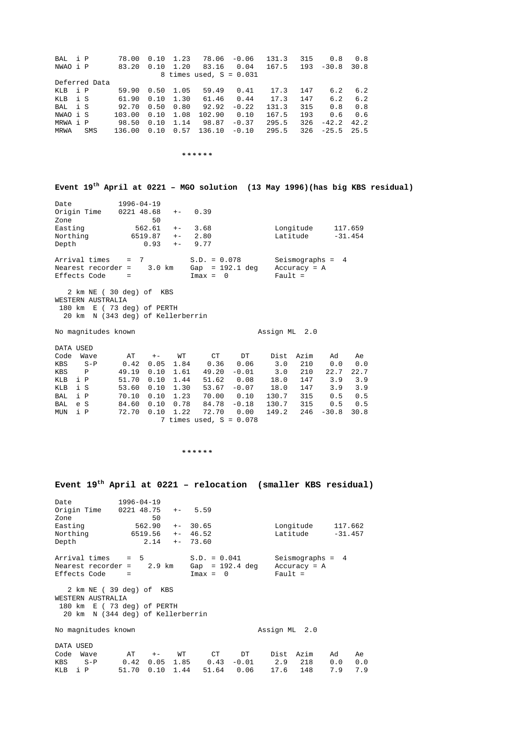| BAL i P<br>NWAO i P                                                                                                         | 78.00<br>83.20                                                   | 0.10<br>0.10                                                  | 1.23<br>1.20                                               | 78.06<br>83.16<br>8 times used, $S = 0.031$                                                                     | $-0.06$<br>0.04                               | 131.3<br>167.5                                                | 315<br>193                                            | 0.8<br>$-30.8$                                           | 0.8<br>30.8                                           |  |
|-----------------------------------------------------------------------------------------------------------------------------|------------------------------------------------------------------|---------------------------------------------------------------|------------------------------------------------------------|-----------------------------------------------------------------------------------------------------------------|-----------------------------------------------|---------------------------------------------------------------|-------------------------------------------------------|----------------------------------------------------------|-------------------------------------------------------|--|
| Deferred Data<br>i P<br>KLB<br>i S<br>KLB<br>i S<br>BAL<br>NWAO i S<br>MRWA i P<br>MRWA<br>SMS                              | 59.90<br>61.90<br>92.70<br>103.00<br>98.50<br>136.00             | 0.50<br>0.10<br>0.50<br>0.10<br>0.10<br>0.10                  | 1.05<br>1.30<br>0.80<br>1.08<br>1.14<br>0.57               | 59.49<br>61.46<br>92.92<br>102.90<br>98.87 -0.37<br>$136.10 - 0.10$                                             | 0.41<br>0.44<br>$-0.22$<br>0.10               | 17.3<br>17.3<br>131.3<br>167.5<br>295.5<br>295.5              | 147<br>147<br>315<br>193<br>326<br>326                | 6.2<br>6.2<br>0.8<br>0.6<br>$-42.2$<br>$-25.5$           | 6.2<br>6.2<br>0.8<br>0.6<br>42.2<br>25.5              |  |
|                                                                                                                             |                                                                  |                                                               |                                                            | * * * * * *                                                                                                     |                                               |                                                               |                                                       |                                                          |                                                       |  |
| Event 19 <sup>th</sup> April at 0221 - MGO solution (13 May 1996)(has big KBS residual)                                     |                                                                  |                                                               |                                                            |                                                                                                                 |                                               |                                                               |                                                       |                                                          |                                                       |  |
| Date<br>Origin Time<br>Zone<br>Easting<br>Northing<br>Depth                                                                 | $1996 - 04 - 19$<br>0221 48.68                                   | 50<br>562.61<br>6519.87<br>0.93                               | $+ -$<br>$+ -$<br>$+ -$<br>$+ -$                           | 0.39<br>3.68<br>2.80<br>9.77                                                                                    |                                               | Latitude                                                      | Longitude                                             |                                                          | 117.659<br>$-31.454$                                  |  |
| Arrival times<br>Nearest recorder =<br>Effects Code                                                                         | 7<br>$=$<br>$\quad \  \  =$                                      | $3.0$ km                                                      |                                                            | $S.D. = 0.078$<br>Gap = $192.1$ deg<br>$Imax = 0$                                                               |                                               | $Pault =$                                                     | $Accuracy = A$                                        | Seismographs = $4$                                       |                                                       |  |
| 2 km NE (30 deg) of KBS<br>WESTERN AUSTRALIA<br>180 km E (73 deg) of PERTH<br>20 km N (343 deg) of Kellerberrin             |                                                                  |                                                               |                                                            |                                                                                                                 |                                               |                                                               |                                                       |                                                          |                                                       |  |
| No magnitudes known                                                                                                         |                                                                  |                                                               |                                                            |                                                                                                                 |                                               | Assign ML                                                     | 2.0                                                   |                                                          |                                                       |  |
| DATA USED<br>Code<br>Wave<br>$S-P$<br>KBS<br>KBS<br>Ρ<br>KLB<br>i P<br>i S<br>KLB<br>i P<br>BAL<br>e S<br>BAL<br>i P<br>MUN | AT<br>0.42<br>49.19<br>51.70<br>53.60<br>70.10<br>84.60<br>72.70 | $+ -$<br>0.05<br>0.10<br>0.10<br>0.10<br>0.10<br>0.10<br>0.10 | WТ<br>1.84<br>1.61<br>1.44<br>1.30<br>1.23<br>0.78<br>1.22 | СT<br>0.36<br>$49.20 - 0.01$<br>51.62<br>$53.67 - 0.07$<br>70.00<br>84.78<br>72.70<br>7 times used, $S = 0.078$ | DT<br>0.06<br>0.08<br>0.10<br>$-0.18$<br>0.00 | Dist<br>3.0<br>3.0<br>18.0<br>18.0<br>130.7<br>130.7<br>149.2 | Azim<br>210<br>210<br>147<br>147<br>315<br>315<br>246 | Ad<br>0.0<br>22.7<br>3.9<br>3.9<br>0.5<br>0.5<br>$-30.8$ | Аe<br>0.0<br>22.7<br>3.9<br>3.9<br>0.5<br>0.5<br>30.8 |  |
|                                                                                                                             |                                                                  |                                                               |                                                            |                                                                                                                 |                                               |                                                               |                                                       |                                                          |                                                       |  |

 *\* \* \* \* \* \**

**Event 19th April at 0221 – relocation (smaller KBS residual)** Date 1996-04-19 Origin Time 0221 48.75 +- 5.59 Zone 50<br>Easting 562.90 Easting 562.90 +- 30.65 Longitude 117.662<br>Northing 5519.56 +- 46.52 Latitude -31.457 Northing 6519.56 +- 46.52 Latitude -31.457 Depth 2.14 +- 73.60 Arrival times = 5 S.D. = 0.041 Seismographs = 4 Nearest recorder = 2.9 km Gap = 192.4 deg Accuracy = A Effects Code = Imax = 0 Fault = 2 km NE ( 39 deg) of KBS WESTERN AUSTRALIA 180 km E ( 73 deg) of PERTH 20 km N (344 deg) of Kellerberrin No magnitudes known and the control of the Assign ML 2.0 DATA USED Code Wave AT +- WT CT DT Dist Azim Ad Ae KBS S-P 0.42 0.05 1.85 0.43 -0.01 2.9 218 0.0 0.0 KLB i P 51.70 0.10 1.44 51.64 0.06 17.6 148 7.9 7.9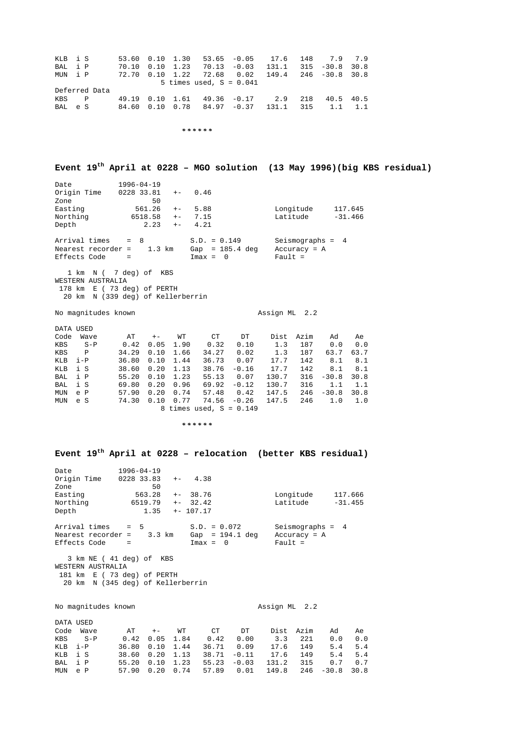| KLB i S |               |  | 53.60  0.10  1.30  53.65  -0.05  17.6  148  7.9  7.9               |  |           |                 |
|---------|---------------|--|--------------------------------------------------------------------|--|-----------|-----------------|
| BAL i P |               |  | $70.10$ $0.10$ $1.23$ $70.13$ $-0.03$ $131.1$ $315$ $-30.8$ $30.8$ |  |           |                 |
| MUN i P |               |  | 72.70  0.10  1.22  72.68  0.02  149.4  246  -30.8  30.8            |  |           |                 |
|         |               |  | 5 times used, $S = 0.041$                                          |  |           |                 |
|         | Deferred Data |  |                                                                    |  |           |                 |
| KBS P   |               |  | 49.19  0.10  1.61  49.36  -0.17  2.9  218                          |  | 40.5 40.5 |                 |
| BAL e S |               |  | 84.60  0.10  0.78  84.97  -0.37  131.1  315                        |  |           | $1.1 \quad 1.1$ |

 *\* \* \* \* \* \**

**Event 19th April at 0228 – MGO solution (13 May 1996)(big KBS residual)**

| Date<br>Origin Time<br>Zone<br>Easting<br>Northing<br>Depth | $1996 - 04 - 19$<br>0228 33.81<br>50<br>561.26<br>6518.58<br>2.23 | $+-$<br>$+-$<br>$+ -$<br>$+ -$ | 0.46<br>5.88<br>7.15<br>4.21                                  | Longitude<br>Latitude                             | 117.645<br>$-31.466$ |
|-------------------------------------------------------------|-------------------------------------------------------------------|--------------------------------|---------------------------------------------------------------|---------------------------------------------------|----------------------|
| Arrival times<br>Nearest recorder =<br>Effects Code         | $=$ 8<br>1.3 km<br>$=$                                            |                                | $S.D. = 0.149$<br>$Gap = 185.4 deg$<br>$\bigcirc$<br>$Imax =$ | Seismographs $= 4$<br>$Accuracy = A$<br>Fault $=$ |                      |

 1 km N ( 7 deg) of KBS WESTERN AUSTRALIA 178 km E ( 73 deg) of PERTH 20 km N (339 deg) of Kellerberrin

No magnitudes known and the control of the Assign ML 2.2

| DATA USED |       |       |      |      |                           |         |       |           |         |      |
|-----------|-------|-------|------|------|---------------------------|---------|-------|-----------|---------|------|
| Code      | Wave  | AT    | $+-$ | WТ   | СT                        | DT      |       | Dist Azim | Ad      | Ae   |
| KBS       | $S-P$ | 0.42  | 0.05 | 1.90 | 0.32                      | 0.10    | 1.3   | 187       | 0.0     | 0.0  |
| KBS       | P     | 34.29 | 0.10 | 1.66 | 34.27                     | 0.02    | 1.3   | 187       | 63.7    | 63.7 |
| KLB       | $i-P$ | 36.80 | 0.10 | 1.44 | 36.73                     | 0.07    | 17.7  | 142       | 8.1     | 8.1  |
| KLB       | i S   | 38.60 | 0.20 | 1.13 | 38.76                     | $-0.16$ | 17.7  | 142       | 8.1     | 8.1  |
| BAL       | i P   | 55.20 | 0.10 | 1.23 | 55.13                     | 0.07    | 130.7 | 316       | $-30.8$ | 30.8 |
| BAL       | i S   | 69.80 | 0.20 | 0.96 | 69.92                     | $-0.12$ | 130.7 | 316       | 1.1     | 1.1  |
| MUN       | e P   | 57.90 | 0.20 | 0.74 | 57.48                     | 0.42    | 147.5 | 246       | $-30.8$ | 30.8 |
| MUN       | e S   | 74.30 | 0.10 | 0.77 | 74.56                     | $-0.26$ | 147.5 | 246       | 1.0     | 1.0  |
|           |       |       |      |      | 8 times used, $S = 0.149$ |         |       |           |         |      |

 *\* \* \* \* \* \**

#### **Event 19th April at 0228 – relocation (better KBS residual)**

| Date<br>Origin Time<br>Zone                                                | $1996 - 04 - 19$<br>0228 33.83<br>50 | $+-$ 4.38                                         |                                                   |
|----------------------------------------------------------------------------|--------------------------------------|---------------------------------------------------|---------------------------------------------------|
| Easting                                                                    | 563.28                               | $+-38.76$                                         | Longitude<br>117.666                              |
| Northing                                                                   | 6519.79                              | $+-32.42$                                         | Latitude<br>$-31.455$                             |
| Depth                                                                      | $1.35 + -107.17$                     |                                                   |                                                   |
| Arrival times $= 5$<br>Nearest recorder = $3.3 \text{ km}$<br>Effects Code |                                      | $S.D. = 0.072$<br>Gap = $194.1$ deg<br>$Imax = 0$ | Seismographs $= 4$<br>$Accuracy = A$<br>Fault $=$ |
| WESTERN AUSTRALIA                                                          | 3 km NE (41 deg) of KBS              |                                                   |                                                   |
|                                                                            | 181 km E (73 deg) of PERTH           |                                                   |                                                   |
|                                                                            | 20 km N (345 deg) of Kellerberrin    |                                                   |                                                   |

No magnitudes known and the magnitudes of the magnitudes  $\lambda$ ssign ML 2.2

|         | DATA USED   |                    |          |                                             |                                                   |           |             |             |
|---------|-------------|--------------------|----------|---------------------------------------------|---------------------------------------------------|-----------|-------------|-------------|
|         | Code Wave   |                    | AT +- WT | CT DT                                       |                                                   | Dist Azim | Ad          | Ae.         |
|         | $KBS$ $S-P$ | $0.42$ $0.05$ 1.84 |          | $0.42\phantom{0}\phantom{0}\phantom{0}0.00$ |                                                   | 3.3 221   | 0.0         | 0.0         |
| KLB i-P |             |                    |          |                                             | 36.80  0.10  1.44  36.71  0.09                    | 17.6 149  | $5.4$ $5.4$ |             |
| KLB i S |             |                    |          |                                             | 38.60  0.20  1.13  38.71  -0.11  17.6  149        |           | 5.4 5.4     |             |
| BAL i P |             |                    |          |                                             | 55.20 0.10 1.23 55.23 -0.03 131.2 315             |           |             | $0.7$ $0.7$ |
| MUN e P |             |                    |          |                                             | $57.90$ 0.20 0.74 57.89 0.01 149.8 246 -30.8 30.8 |           |             |             |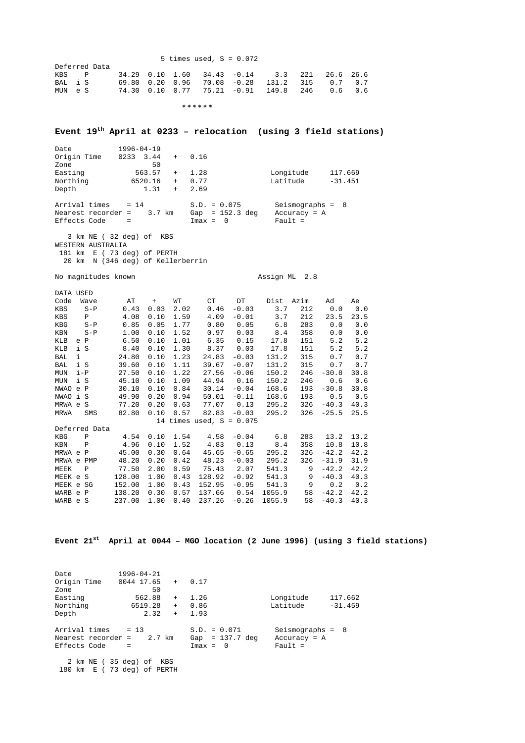|         |               |  | 5 times used, $S = 0.072$                             |  |  |  |
|---------|---------------|--|-------------------------------------------------------|--|--|--|
|         | Deferred Data |  |                                                       |  |  |  |
| KBS P   |               |  | $34.29$ 0.10 1.60 34.43 -0.14 3.3 221 26.6 26.6       |  |  |  |
| BAL i S |               |  | 69.80  0.20  0.96  70.08  -0.28  131.2  315  0.7  0.7 |  |  |  |
| MUN e S |               |  | $74.30$ 0.10 0.77 75.21 -0.91 149.8 246 0.6 0.6       |  |  |  |
|         |               |  |                                                       |  |  |  |

 *\* \* \* \* \* \** 

#### **Event 19th April at 0233 – relocation (using 3 field stations)**

| Date<br>Origin Time<br>Zone        | $1996 - 04 - 19$<br>0233<br>3.44<br>$+$<br>50 | 0.16                            |                             |
|------------------------------------|-----------------------------------------------|---------------------------------|-----------------------------|
| Easting                            | 563.57<br>$+$                                 | 1.28                            | Longitude<br>117.669        |
| Northing                           | 6520.16<br>$+$                                | 0.77                            | Latitude<br>$-31.451$       |
| Depth                              | 1.31<br>$\ddot{}$                             | 2.69                            |                             |
| Arrival times                      | $= 14$                                        | $S.D. = 0.075$                  | Seismographs = $8$          |
| Nearest recorder =<br>Effects Code | 3.7 km<br>$=$                                 | Gap = $152.3$ deg<br>$Imax = 0$ | $Accuracy = A$<br>Fault $=$ |

 3 km NE ( 32 deg) of KBS WESTERN AUSTRALIA 181 km E ( 73 deg) of PERTH 20 km N (346 deg) of Kellerberrin

No magnitudes known Assign ML 2.8

|        |              | АT                                                                                                                                                                 | $+$  | WТ   | CT.    | DT      | Dist                       | Azim | Ad      | Ae   |
|--------|--------------|--------------------------------------------------------------------------------------------------------------------------------------------------------------------|------|------|--------|---------|----------------------------|------|---------|------|
|        | $S - P$      | 0.43                                                                                                                                                               | 0.03 | 2.02 | 0.46   | $-0.03$ | 3.7                        | 212  | 0.0     | 0.0  |
|        | Ρ            | 4.08                                                                                                                                                               | 0.10 | 1.59 | 4.09   | $-0.01$ | 3.7                        | 212  | 23.5    | 23.5 |
|        | $S - P$      | 0.85                                                                                                                                                               | 0.05 | 1.77 | 0.80   | 0.05    | 6.8                        | 283  | 0.0     | 0.0  |
|        | $S - P$      | 1.00                                                                                                                                                               | 0.10 | 1.52 | 0.97   | 0.03    | 8.4                        | 358  | 0.0     | 0.0  |
| e      |              | 6.50                                                                                                                                                               | 0.10 | 1.01 | 6.35   | 0.15    | 17.8                       | 151  | 5.2     | 5.2  |
|        |              | 8.40                                                                                                                                                               | 0.10 | 1.30 | 8.37   | 0.03    | 17.8                       | 151  | 5.2     | 5.2  |
| i      |              | 24.80                                                                                                                                                              | 0.10 | 1.23 | 24.83  | $-0.03$ | 131.2                      | 315  | 0.7     | 0.7  |
|        |              | 39.60                                                                                                                                                              | 0.10 | 1.11 | 39.67  | $-0.07$ | 131.2                      | 315  | 0.7     | 0.7  |
|        |              | 27.50                                                                                                                                                              | 0.10 | 1.22 | 27.56  | $-0.06$ | 150.2                      | 246  | $-30.8$ | 30.8 |
|        |              | 45.10                                                                                                                                                              | 0.10 | 1.09 | 44.94  | 0.16    | 150.2                      | 246  | 0.6     | 0.6  |
| e      |              | 30.10                                                                                                                                                              | 0.10 | 0.84 | 30.14  | $-0.04$ | 168.6                      | 193  | $-30.8$ | 30.8 |
| i      |              | 49.90                                                                                                                                                              | 0.20 | 0.94 | 50.01  | $-0.11$ | 168.6                      | 193  | 0.5     | 0.5  |
|        |              | 77.20                                                                                                                                                              | 0.20 | 0.63 | 77.07  | 0.13    | 295.2                      | 326  | $-40.3$ | 40.3 |
|        | SMS          | 82.80                                                                                                                                                              | 0.10 | 0.57 | 82.83  | $-0.03$ | 295.2                      | 326  | $-25.5$ | 25.5 |
|        |              |                                                                                                                                                                    |      |      |        |         |                            |      |         |      |
|        |              |                                                                                                                                                                    |      |      |        |         |                            |      |         |      |
|        | $\mathbf P$  | 4.54                                                                                                                                                               | 0.10 | 1.54 | 4.58   | $-0.04$ | 6.8                        | 283  | 13.2    | 13.2 |
|        | Ρ            | 4.96                                                                                                                                                               | 0.10 | 1.52 | 4.83   | 0.13    | 8.4                        | 358  | 10.8    | 10.8 |
| MRWA e |              | 45.00                                                                                                                                                              | 0.30 | 0.64 | 45.65  | $-0.65$ | 295.2                      | 326  | $-42.2$ | 42.2 |
| MRWA e |              | 48.20                                                                                                                                                              | 0.20 | 0.42 | 48.23  | $-0.03$ | 295.2                      | 326  | $-31.9$ | 31.9 |
|        | $\mathbf{P}$ | 77.50                                                                                                                                                              | 2.00 | 0.59 | 75.43  | 2.07    | 541.3                      | 9    | $-42.2$ | 42.2 |
| MEEK e |              | 128.00                                                                                                                                                             | 1.00 | 0.43 | 128.92 | $-0.92$ | 541.3                      | 9    | $-40.3$ | 40.3 |
| MEEK e |              | 152.00                                                                                                                                                             | 1.00 | 0.43 | 152.95 | $-0.95$ | 541.3                      | 9    | 0.2     | 0.2  |
| WARB e |              | 138.20                                                                                                                                                             | 0.30 | 0.57 | 137.66 | 0.54    | 1055.9                     | 58   | $-42.2$ | 42.2 |
|        |              | 237.00                                                                                                                                                             | 1.00 | 0.40 | 237.26 | $-0.26$ | 1055.9                     | 58   | $-40.3$ | 40.3 |
|        |              | DATA USED<br>Wave<br>$\mathbf P$<br>i S<br>i S<br>$i-P$<br>i S<br>$\mathbf{P}$<br>S<br>MRWA e S<br>Deferred Data<br>P<br>PMP<br>S<br>SG<br>$\mathbf P$<br>WARB e S |      |      |        |         | 14 times used, $S = 0.075$ |      |         |      |

**Event 21st April at 0044 – MGO location (2 June 1996) (using 3 field stations)**

| Date<br>Origin Time                                          | $1996 - 04 - 21$<br>0044 17.65<br>$+$       | 0.17                                              |                                                   |
|--------------------------------------------------------------|---------------------------------------------|---------------------------------------------------|---------------------------------------------------|
| Zone                                                         | 50                                          |                                                   |                                                   |
| Easting                                                      | 562.88<br>$+$                               | 1.26                                              | Longitude<br>117.662                              |
| Northing                                                     | 6519.28<br>$+$                              | 0.86                                              | Latitude<br>$-31.459$                             |
| Depth                                                        | 2.32<br>$+$                                 | 1.93                                              |                                                   |
| Arrival times $= 13$<br>Nearest recorder $=$<br>Effects Code | 2.7 km<br>$=$                               | $S.D. = 0.071$<br>Gap = $137.7$ deg<br>$Imax = 0$ | Seismographs = $8$<br>$Accuracy = A$<br>Fault $=$ |
| 180 km E                                                     | 2 km NE (35 deg) of KBS<br>73 deg) of PERTH |                                                   |                                                   |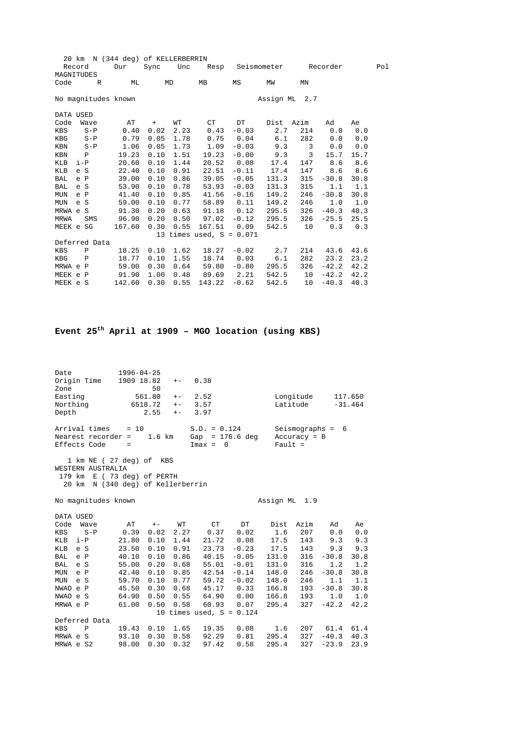|            | N (344 deg) of KELLERBERRIN<br>20 km |               |                     |      |      |                            |         |               |      |          |      |     |
|------------|--------------------------------------|---------------|---------------------|------|------|----------------------------|---------|---------------|------|----------|------|-----|
|            | Record                               |               | Dur                 | Sync | Unc  | Resp                       |         | Seismometer   |      | Recorder |      | Pol |
| MAGNITUDES |                                      |               |                     |      |      |                            |         |               |      |          |      |     |
| Code       |                                      | R             | МL                  |      | MD   | МB                         | MS      | МW            | MN   |          |      |     |
|            |                                      |               |                     |      |      |                            |         |               |      |          |      |     |
|            |                                      |               | No magnitudes known |      |      |                            |         | Assign ML 2.7 |      |          |      |     |
| DATA USED  |                                      |               |                     |      |      |                            |         |               |      |          |      |     |
| Code       |                                      | Wave          | AΤ                  | $+$  | WТ   | CT                         | DT      | Dist          | Azim | Ad       | Ae   |     |
| KBS        |                                      | $S - P$       | 0.40                | 0.02 | 2.23 | 0.43                       | $-0.03$ | 2.7           | 214  | 0.0      | 0.0  |     |
| KBG        |                                      | $S - P$       | 0.79                | 0.05 | 1.78 | 0.75                       | 0.04    | 6.1           | 282  | 0.0      | 0.0  |     |
| KBN        |                                      | $S - P$       | 1.06                | 0.05 | 1.73 | 1.09                       | $-0.03$ | 9.3           | 3    | 0.0      | 0.0  |     |
| KBN        | $\mathbf P$                          |               | 19.23               | 0.10 | 1.51 | 19.23                      | $-0.00$ | 9.3           | 3    | 15.7     | 15.7 |     |
| KLB        | $i-P$                                |               | 20.60               | 0.10 | 1.44 | 20.52                      | 0.08    | 17.4          | 147  | 8.6      | 8.6  |     |
| KLB        | e S                                  |               | 22.40               | 0.10 | 0.91 | 22.51                      | $-0.11$ | 17.4          | 147  | 8.6      | 8.6  |     |
| BAL        | e P                                  |               | 39.00               | 0.10 | 0.86 | 39.05                      | $-0.05$ | 131.3         | 315  | $-30.8$  | 30.8 |     |
| BAL        | S<br>e                               |               | 53.90               | 0.10 | 0.78 | 53.93                      | $-0.03$ | 131.3         | 315  | 1.1      | 1.1  |     |
| <b>MUN</b> | e P                                  |               | 41.40               | 0.10 | 0.85 | 41.56                      | $-0.16$ | 149.2         | 246  | $-30.8$  | 30.8 |     |
| <b>MUN</b> | S<br>e                               |               | 59.00               | 0.10 | 0.77 | 58.89                      | 0.11    | 149.2         | 246  | 1.0      | 1.0  |     |
| MRWA e S   |                                      |               | 91.30               | 0.20 | 0.63 | 91.18                      | 0.12    | 295.5         | 326  | $-40.3$  | 40.3 |     |
| MRWA       |                                      | SMS           | 96.90               | 0.20 | 0.50 | 97.02                      | $-0.12$ | 295.5         | 326  | $-25.5$  | 25.5 |     |
| MEEK e SG  |                                      |               | 167.60              | 0.30 | 0.55 | 167.51                     | 0.09    | 542.5         | 10   | 0.3      | 0.3  |     |
|            |                                      |               |                     |      |      | 13 times used, $S = 0.071$ |         |               |      |          |      |     |
|            |                                      | Deferred Data |                     |      |      |                            |         |               |      |          |      |     |
| KBS        | $\mathbf P$                          |               | 18.25               | 0.10 | 1.62 | 18.27                      | $-0.02$ | 2.7           | 214  | 43.6     | 43.6 |     |
| KBG        | Ρ                                    |               | 18.77               | 0.10 | 1.55 | 18.74                      | 0.03    | 6.1           | 282  | 23.2     | 23.2 |     |
| MRWA e P   |                                      |               | 59.00               | 0.30 | 0.64 | 59.80                      | $-0.80$ | 295.5         | 326  | $-42.2$  | 42.2 |     |
| MEEK e P   |                                      |               | 91.90               | 1.00 | 0.48 | 89.69                      | 2.21    | 542.5         | 10   | $-42.2$  | 42.2 |     |
| MEEK e S   |                                      |               | 142.60              | 0.30 | 0.55 | 143.22                     | $-0.62$ | 542.5         | 10   | $-40.3$  | 40.3 |     |
|            |                                      |               |                     |      |      |                            |         |               |      |          |      |     |

# **Event 25th April at 1909 – MGO location (using KBS)**

| Date                |         |                                                                                                                 | 1996-04-25         |          |       |                                     |               |               |                |                    |           |
|---------------------|---------|-----------------------------------------------------------------------------------------------------------------|--------------------|----------|-------|-------------------------------------|---------------|---------------|----------------|--------------------|-----------|
| Origin Time<br>Zone |         |                                                                                                                 | 1909 18.82         | 50       | $+ -$ | 0.38                                |               |               |                |                    |           |
| Easting             |         |                                                                                                                 |                    | 561.80   | $+ -$ | 2.52                                |               |               | Longitude      |                    | 117.650   |
| Northing            |         |                                                                                                                 |                    | 6518.72  | $+ -$ | 3.57                                |               |               | Latitude       |                    | $-31.464$ |
| Depth               |         |                                                                                                                 |                    | 2.55     | $+ -$ | 3.97                                |               |               |                |                    |           |
|                     |         | Arrival times<br>Nearest recorder =<br>Effects Code                                                             | $= 10$<br>$\equiv$ | $1.6$ km |       | $S.D. = 0.124$<br>Gap<br>$Imax = 0$ | $= 176.6$ deg | $Fault =$     | $Accuracy = B$ | Seismographs = $6$ |           |
|                     |         | 1 km NE (27 deg) of KBS<br>WESTERN AUSTRALIA<br>179 km E (73 deg) of PERTH<br>20 km N (340 deg) of Kellerberrin |                    |          |       |                                     |               |               |                |                    |           |
|                     |         | No magnitudes known                                                                                             |                    |          |       |                                     |               | Assign ML 1.9 |                |                    |           |
| DATA USED           |         |                                                                                                                 |                    |          |       |                                     |               |               |                |                    |           |
| Code                |         | Wave                                                                                                            | AT                 | $+ -$    | WТ    | CT                                  | DT            | Dist          | Azim           | Ad                 | Ae        |
| KBS                 |         | $S-P$                                                                                                           | 0.39               | 0.02     | 2.27  | 0.37                                | 0.02          | 1.6           | 207            | 0.0                | 0.0       |
| KLB                 | $i-P$   |                                                                                                                 | 21.80              | 0.10     | 1.44  | 21.72                               | 0.08          | 17.5          | 143            | 9.3                | 9.3       |
| KLB                 | e S     |                                                                                                                 | 23.50              | 0.10     | 0.91  | 23.73                               | $-0.23$       | 17.5          | 143            | 9.3                | 9.3       |
| BAL                 | e P     |                                                                                                                 | 40.10              | 0.10     | 0.86  | 40.15                               | $-0.05$       | 131.0         | 316            | $-30.8$            | 30.8      |
| BAL                 | e S     |                                                                                                                 | 55.00              | 0.20     | 0.68  | 55.01                               | $-0.01$       | 131.0         | 316            | 1.2                | 1.2       |
| MUN                 | $e$ $P$ |                                                                                                                 | 42.40              | 0.10     | 0.85  | 42.54                               | $-0.14$       | 148.0         | 246            | $-30.8$            | 30.8      |
| MUN                 | e S     |                                                                                                                 | 59.70              | 0.10     | 0.77  | 59.72                               | $-0.02$       | 148.0         | 246            | 1.1                | 1.1       |
| NWAO e P            |         |                                                                                                                 | 45.50              | 0.30     | 0.68  | 45.17                               | 0.33          | 166.8         | 193            | $-30.8$            | 30.8      |
| NWAO e S            |         |                                                                                                                 | 64.90              | 0.50     | 0.55  | 64.90                               | 0.00          | 166.8         | 193            | 1.0                | 1.0       |
| MRWA e P            |         |                                                                                                                 | 61.00              | 0.50     | 0.58  | 60.93                               | 0.07          | 295.4         | 327            | $-42.2$            | 42.2      |
|                     |         |                                                                                                                 |                    |          |       | 10 times used, $S = 0.124$          |               |               |                |                    |           |
|                     |         | Deferred Data                                                                                                   |                    |          |       |                                     |               |               |                |                    |           |
| KBS                 |         | $\mathbf{P}$                                                                                                    | 19.43              | 0.10     | 1.65  | 19.35                               | 0.08          | 1.6           | 207            | 61.4               | 61.4      |
| MRWA e S            |         |                                                                                                                 | 93.10              | 0.30     | 0.58  | 92.29                               | 0.81          | 295.4         | 327            | $-40.3$            | 40.3      |
| MRWA e S2           |         |                                                                                                                 | 98.00              | 0.30     | 0.32  | 97.42                               | 0.58          | 295.4         | 327            | $-23.9$            | 23.9      |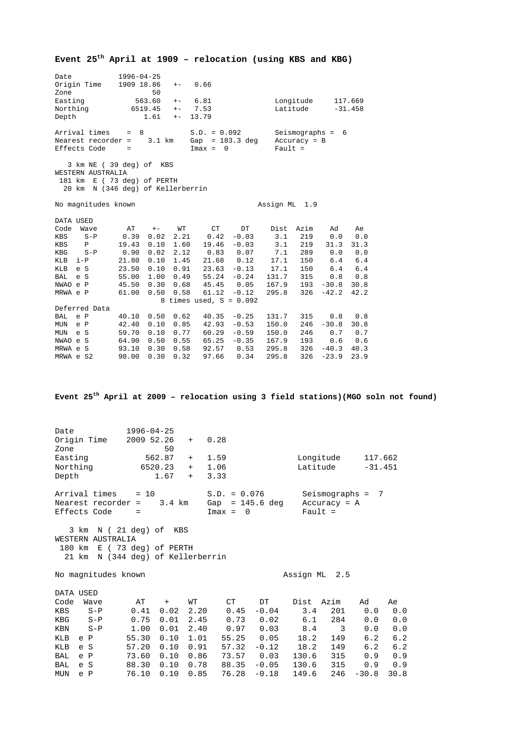|                                                                                                                                                       |                                                                                                                                                                                                    | Event 25 <sup>th</sup> April at 1909 - relocation (using KBS and KBG)                                                                                                                                |                                                                                |                                                                              |                                                                                                                                                                                     |
|-------------------------------------------------------------------------------------------------------------------------------------------------------|----------------------------------------------------------------------------------------------------------------------------------------------------------------------------------------------------|------------------------------------------------------------------------------------------------------------------------------------------------------------------------------------------------------|--------------------------------------------------------------------------------|------------------------------------------------------------------------------|-------------------------------------------------------------------------------------------------------------------------------------------------------------------------------------|
| Date<br>Origin Time<br>Zone<br>Easting<br>Northing<br>Depth                                                                                           | 1996-04-25<br>1909 18.86<br>$+ -$<br>50<br>563.60<br>$+-$<br>$6519.45 + -$<br>1.61<br>$+ -$                                                                                                        | 0.66<br>6.81<br>7.53<br>13.79                                                                                                                                                                        |                                                                                | Longitude<br>Latitude                                                        | 117.669<br>$-31.458$                                                                                                                                                                |
| Arrival times =<br>Nearest recorder =<br>Effects Code                                                                                                 | 8<br>3.1 km<br>$\overline{a}$ =                                                                                                                                                                    | S.D. = 0.092 Seismographs = 6<br>Gap = 183.3 deg Accuracy = B<br>$Imax = 0$                                                                                                                          | $Pault =$                                                                      |                                                                              |                                                                                                                                                                                     |
| WESTERN AUSTRALIA                                                                                                                                     | 3 km NE (39 deg) of KBS<br>181 km E ( 73 deg) of PERTH<br>20 km N (346 deg) of Kellerberrin                                                                                                        |                                                                                                                                                                                                      |                                                                                |                                                                              |                                                                                                                                                                                     |
| No magnitudes known                                                                                                                                   |                                                                                                                                                                                                    |                                                                                                                                                                                                      | Assign ML 1.9                                                                  |                                                                              |                                                                                                                                                                                     |
| DATA USED<br>Code Wave<br>$S-P$<br>KBS<br>KBS<br>$\mathbb{P}$<br>KBG<br>$S-P$<br>KLB i-P<br>KLB e S<br>BAL e S<br>NWAO e P<br>MRWA e P                | WT<br>AT<br>$+ -$<br>2.21<br>$0.39 \quad 0.02$<br>19.43  0.10  1.60<br>$0.02$ $2.12$<br>0.90<br>21.80  0.10  1.45<br>23.50<br>$0.10 \quad 0.91$<br>45.50<br>$0.30 \quad 0.68$<br>61.00  0.50  0.58 | CT <sub>1</sub><br>DT<br>$0.42 - 0.03$<br>$19.46 - 0.03$<br>$0.83$ 0.07<br>21.68  0.12<br>$23.63 - 0.13$<br>55.00 1.00 0.49 55.24 -0.24<br>45.45 0.05<br>$61.12 - 0.12$<br>8 times used, $S = 0.092$ | Dist Azim<br>3.1<br>3.1<br>7.1<br>17.1<br>17.1<br>131.7 315<br>167.9<br>295.8  | 219<br>219<br>289<br>150<br>150<br>193<br>$-30.8$<br>326<br>$-42.2$          | Ad<br>Ae<br>0.0<br>0.0<br>31.3<br>31.3<br>0.0<br>0.0<br>6.4<br>6.4<br>6.4<br>6.4<br>0.8<br>0.8<br>30.8<br>42.2                                                                      |
| Deferred Data<br>BAL e P<br>MUN e P<br>MUN e S<br>NWAO e S<br>MRWA e S<br>MRWA e S2                                                                   | 40.10  0.50  0.62<br>42.40  0.10  0.85<br>$0.10 \quad 0.77$<br>59.70<br>64.90 0.50 0.55<br>98.00 0.30 0.32                                                                                         | $40.35 - 0.25$<br>$42.93 - 0.53$<br>$60.29 - 0.59$<br>$65.25 - 0.35$<br>93.10  0.30  0.58  92.57  0.53<br>97.66<br>0.34                                                                              | 131.7<br>150.0<br>150.0<br>167.9<br>295.8<br>295.8                             | 315<br>246<br>$-30.8$<br>246<br>193<br>$326 - 40.3 40.3$<br>$326 - 23.9$     | 0.8<br>0.8<br>30.8<br>0.7<br>0.7<br>0.6<br>0.6<br>23.9                                                                                                                              |
|                                                                                                                                                       |                                                                                                                                                                                                    |                                                                                                                                                                                                      |                                                                                |                                                                              | Event 25 <sup>th</sup> April at 2009 - relocation using 3 field stations) (MGO soln not found)                                                                                      |
| Date<br>Origin Time<br>Zone<br>Easting<br>Northing<br>Depth                                                                                           | $1996 - 04 - 25$<br>2009 52.26<br>50<br>562.87<br>6520.23<br>1.67                                                                                                                                  | 0.28<br>$+$<br>1.59<br>$+$<br>1.06<br>$+$<br>3.33<br>$+$                                                                                                                                             |                                                                                | Longitude<br>Latitude                                                        | 117.662<br>$-31.451$                                                                                                                                                                |
| Arrival times<br>Nearest recorder =<br>Effects Code                                                                                                   | $= 10$<br>$3.4 \text{ km}$<br>$\equiv$                                                                                                                                                             | $S.D. = 0.076$<br>Gap = $145.6$ deg Accuracy = A<br>$Imax = 0$                                                                                                                                       |                                                                                | $Pault =$                                                                    | Seismographs = 7                                                                                                                                                                    |
| WESTERN AUSTRALIA                                                                                                                                     | 3 km N (21 deg) of KBS<br>180 km E (73 deg) of PERTH<br>21 km N (344 deg) of Kellerberrin                                                                                                          |                                                                                                                                                                                                      |                                                                                |                                                                              |                                                                                                                                                                                     |
| No magnitudes known                                                                                                                                   |                                                                                                                                                                                                    |                                                                                                                                                                                                      |                                                                                | Assign ML 2.5                                                                |                                                                                                                                                                                     |
| DATA USED<br>Code Wave<br>KBS<br>$S-P$<br>KBG<br>$S-P$<br>KBN<br>$S - P$<br>KLB<br>e P<br>KLB<br>e S<br>BAL<br>e P<br><b>BAL</b><br>e S<br>MUN<br>e P | AΤ<br>$+$<br>0.02<br>0.41<br>0.75<br>0.01<br>1.00<br>0.01<br>55.30<br>0.10<br>0.10<br>57.20<br>0.10<br>73.60<br>0.10<br>88.30<br>0.10<br>76.10                                                     | WТ<br>СT<br>2.20<br>0.45<br>2.45<br>0.73<br>2.40<br>0.97<br>1.01<br>55.25<br>0.91<br>57.32<br>0.86<br>73.57<br>0.78<br>88.35<br>0.85<br>76.28                                                        | DT<br>$-0.04$<br>0.02<br>0.03<br>0.05<br>$-0.12$<br>0.03<br>$-0.05$<br>$-0.18$ | Azim<br>Dist<br>3.4<br>6.1<br>8.4<br>18.2<br>18.2<br>130.6<br>130.6<br>149.6 | Ad<br>Ae<br>201<br>0.0<br>0.0<br>284<br>0.0<br>0.0<br>3<br>0.0<br>0.0<br>6.2<br>6.2<br>149<br>6.2<br>6.2<br>149<br>315<br>0.9<br>0.9<br>315<br>0.9<br>0.9<br>246<br>30.8<br>$-30.8$ |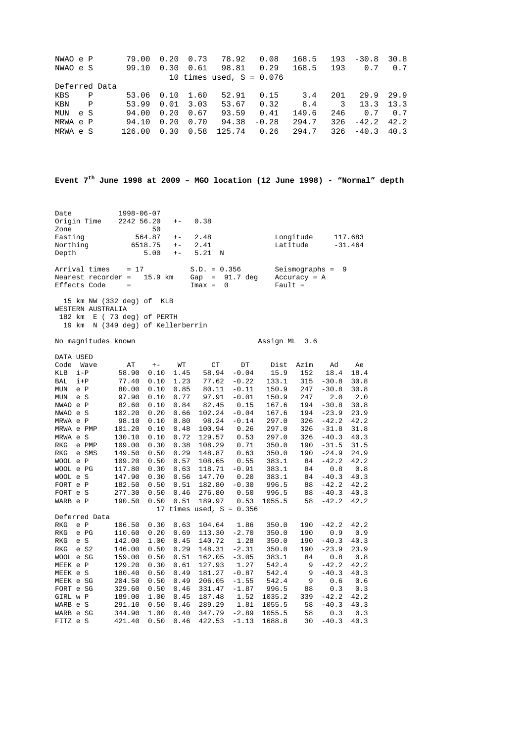| NWAO e P |               | 79.00      | 0.20 | 0.73 | 78.92                      | 0.08    | 168.5 |     | $193 - 30.8$ | 30.8 |
|----------|---------------|------------|------|------|----------------------------|---------|-------|-----|--------------|------|
| NWAO e S |               | 99.10      | 0.30 | 0.61 | 98.81                      | 0.29    | 168.5 | 193 | 0.7          | 0.7  |
|          |               |            |      |      | 10 times used, $S = 0.076$ |         |       |     |              |      |
|          | Deferred Data |            |      |      |                            |         |       |     |              |      |
| KBS      | P             | 53.06 0.10 |      | 1.60 | 52.91                      | 0.15    | 3.4   | 201 | 29.9         | 29.9 |
| KBN      | P             | 53.99      | 0.01 | 3.03 | 53.67                      | 0.32    | 8.4   | 3   | 13.3         | 13.3 |
| MUN e S  |               | 94.00      | 0.20 | 0.67 | 93.59                      | 0.41    | 149.6 | 246 | 0.7          | 0.7  |
| MRWA e P |               | 94.10      | 0.20 | 0.70 | 94.38                      | $-0.28$ | 294.7 | 326 | $-42.2$      | 42.2 |
| MRWA e S |               | 126.00     | 0.30 | 0.58 | 125.74                     | 0.26    | 294.7 | 326 | $-40.3$      | 40.3 |

**Event 7th June 1998 at 2009 – MGO location (12 June 1998) - "Normal" depth**

| Date          | $1998 - 06 - 07$           |       |                  |                    |           |
|---------------|----------------------------|-------|------------------|--------------------|-----------|
| Origin Time   | $2242\,56.20 + -$          |       | 0.38             |                    |           |
| Zone          | 50                         |       |                  |                    |           |
| Easting       | 564.87                     | $+ -$ | 2.48             | Longitude          | 117.683   |
| Northing      | 6518.75                    |       | $+-2.41$         | Latitude           | $-31.464$ |
| Depth         | 5.00                       |       | $+-$ 5.21 N      |                    |           |
| Arrival times | $= 17$                     |       | $S.D. = 0.356$   | Seismographs = $9$ |           |
|               | Nearest recorder = 15.9 km |       | Gap = $91.7$ deg | $Accuracy = A$     |           |
| Effects Code  | $=$                        |       | $Imax = 0$       | $Fault =$          |           |
|               |                            |       |                  |                    |           |

 15 km NW (332 deg) of KLB WESTERN AUSTRALIA 182 km E ( 73 deg) of PERTH 19 km N (349 deg) of Kellerberrin

No magnitudes known Assign ML 3.6

| DATA USED  |       |               |        |       |      |                            |         |        |      |         |      |
|------------|-------|---------------|--------|-------|------|----------------------------|---------|--------|------|---------|------|
| Code       |       | Wave          | AТ     | $+ -$ | WТ   | CT                         | DT      | Dist   | Azim | Ad      | Ae   |
| KLB        | $i-P$ |               | 58.90  | 0.10  | 1.45 | 58.94                      | $-0.04$ | 15.9   | 152  | 18.4    | 18.4 |
| BAL        | $i+P$ |               | 77.40  | 0.10  | 1.23 | 77.62                      | $-0.22$ | 133.1  | 315  | $-30.8$ | 30.8 |
| <b>MUN</b> | e P   |               | 80.00  | 0.10  | 0.85 | 80.11                      | $-0.11$ | 150.9  | 247  | $-30.8$ | 30.8 |
| <b>MUN</b> | e S   |               | 97.90  | 0.10  | 0.77 | 97.91                      | $-0.01$ | 150.9  | 247  | 2.0     | 2.0  |
| NWAO e P   |       |               | 82.60  | 0.10  | 0.84 | 82.45                      | 0.15    | 167.6  | 194  | $-30.8$ | 30.8 |
| NWAO       | e S   |               | 102.20 | 0.20  | 0.66 | 102.24                     | $-0.04$ | 167.6  | 194  | $-23.9$ | 23.9 |
| MRWA e P   |       |               | 98.10  | 0.10  | 0.80 | 98.24                      | $-0.14$ | 297.0  | 326  | $-42.2$ | 42.2 |
| MRWA e PMP |       |               | 101.20 | 0.10  | 0.48 | 100.94                     | 0.26    | 297.0  | 326  | $-31.8$ | 31.8 |
| MRWA e S   |       |               | 130.10 | 0.10  | 0.72 | 129.57                     | 0.53    | 297.0  | 326  | $-40.3$ | 40.3 |
| <b>RKG</b> |       | e PMP         | 109.00 | 0.30  | 0.38 | 108.29                     | 0.71    | 350.0  | 190  | $-31.5$ | 31.5 |
| <b>RKG</b> |       | e SMS         | 149.50 | 0.50  | 0.29 | 148.87                     | 0.63    | 350.0  | 190  | $-24.9$ | 24.9 |
| WOOL e P   |       |               | 109.20 | 0.50  | 0.57 | 108.65                     | 0.55    | 383.1  | 84   | $-42.2$ | 42.2 |
| WOOL e PG  |       |               | 117.80 | 0.30  | 0.63 | 118.71                     | $-0.91$ | 383.1  | 84   | 0.8     | 0.8  |
| WOOL e S   |       |               | 147.90 | 0.30  | 0.56 | 147.70                     | 0.20    | 383.1  | 84   | $-40.3$ | 40.3 |
| FORT e P   |       |               | 182.50 | 0.50  | 0.51 | 182.80                     | $-0.30$ | 996.5  | 88   | $-42.2$ | 42.2 |
| FORT e S   |       |               | 277.30 | 0.50  | 0.46 | 276.80                     | 0.50    | 996.5  | 88   | $-40.3$ | 40.3 |
| WARB e P   |       |               | 190.50 | 0.50  | 0.51 | 189.97                     | 0.53    | 1055.5 | 58   | $-42.2$ | 42.2 |
|            |       |               |        |       |      | 17 times used, $S = 0.356$ |         |        |      |         |      |
|            |       | Deferred Data |        |       |      |                            |         |        |      |         |      |
| <b>RKG</b> | e P   |               | 106.50 | 0.30  | 0.63 | 104.64                     | 1.86    | 350.0  | 190  | $-42.2$ | 42.2 |
| <b>RKG</b> |       | e PG          | 110.60 | 0.20  | 0.69 | 113.30                     | $-2.70$ | 350.0  | 190  | 0.9     | 0.9  |
| <b>RKG</b> | e S   |               | 142.00 | 1.00  | 0.45 | 140.72                     | 1.28    | 350.0  | 190  | $-40.3$ | 40.3 |
| <b>RKG</b> |       | e S2          | 146.00 | 0.50  | 0.29 | 148.31                     | $-2.31$ | 350.0  | 190  | $-23.9$ | 23.9 |
| WOOL e SG  |       |               | 159.00 | 0.50  | 0.51 | 162.05                     | $-3.05$ | 383.1  | 84   | 0.8     | 0.8  |
| MEEK e P   |       |               | 129.20 | 0.30  | 0.61 | 127.93                     | 1.27    | 542.4  | 9    | $-42.2$ | 42.2 |
| MEEK e S   |       |               | 180.40 | 0.50  | 0.49 | 181.27                     | $-0.87$ | 542.4  | 9    | $-40.3$ | 40.3 |
| MEEK e SG  |       |               | 204.50 | 0.50  | 0.49 | 206.05                     | $-1.55$ | 542.4  | 9    | 0.6     | 0.6  |
| FORT e SG  |       |               | 329.60 | 0.50  | 0.46 | 331.47                     | $-1.87$ | 996.5  | 88   | 0.3     | 0.3  |
| GIRL w P   |       |               | 189.00 | 1.00  | 0.45 | 187.48                     | 1.52    | 1035.2 | 339  | $-42.2$ | 42.2 |
| WARB e S   |       |               | 291.10 | 0.50  | 0.46 | 289.29                     | 1.81    | 1055.5 | 58   | $-40.3$ | 40.3 |
| WARB e SG  |       |               | 344.90 | 1.00  | 0.40 | 347.79                     | $-2.89$ | 1055.5 | 58   | 0.3     | 0.3  |
| FITZ e S   |       |               | 421.40 | 0.50  | 0.46 | 422.53                     | $-1.13$ | 1688.8 | 30   | $-40.3$ | 40.3 |